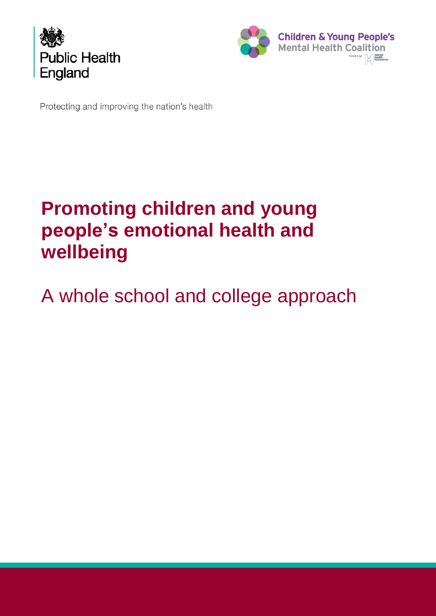



Protecting and improving the nation's health

# **Promoting children and young people's emotional health and wellbeing**

# A whole school and college approach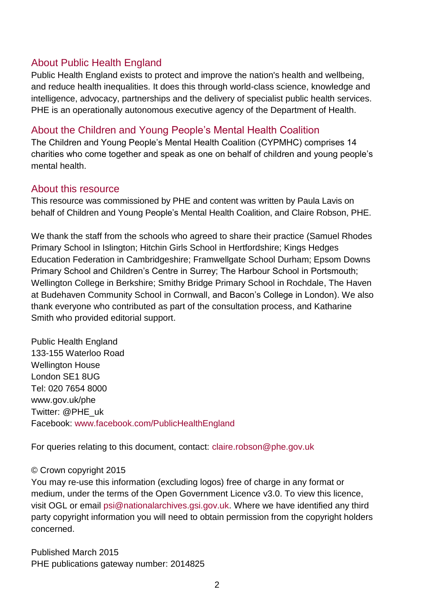## About Public Health England

Public Health England exists to protect and improve the nation's health and wellbeing, and reduce health inequalities. It does this through world-class science, knowledge and intelligence, advocacy, partnerships and the delivery of specialist public health services. PHE is an operationally autonomous executive agency of the Department of Health.

## About the Children and Young People's Mental Health Coalition

The Children and Young People's Mental Health Coalition (CYPMHC) comprises 14 charities who come together and speak as one on behalf of children and young people's mental health.

## About this resource

This resource was commissioned by PHE and content was written by Paula Lavis on behalf of Children and Young People's Mental Health Coalition, and Claire Robson, PHE.

We thank the staff from the schools who agreed to share their practice (Samuel Rhodes Primary School in Islington; Hitchin Girls School in Hertfordshire; Kings Hedges Education Federation in Cambridgeshire; Framwellgate School Durham; Epsom Downs Primary School and Children's Centre in Surrey; The Harbour School in Portsmouth; Wellington College in Berkshire; Smithy Bridge Primary School in Rochdale, The Haven at Budehaven Community School in Cornwall, and Bacon's College in London). We also thank everyone who contributed as part of the consultation process, and Katharine Smith who provided editorial support.

Public Health England 133-155 Waterloo Road Wellington House London SE1 8UG Tel: 020 7654 8000 [www.gov.uk/phe](http://www.gov.uk/phe) Twitter: [@PHE\\_uk](https://twitter.com/PHE_uk) Facebook: [www.facebook.com/PublicHealthEngland](http://www.facebook.com/PublicHealthEngland)

For queries relating to this document, contact: [claire.robson@phe.gov.uk](mailto:claire.robson@phe.gov.uk)

### © Crown copyright 2015

You may re-use this information (excluding logos) free of charge in any format or medium, under the terms of the Open Government Licence v3.0. To view this licence, visit OGL or email [psi@nationalarchives.gsi.gov.uk.](mailto:psi@nationalarchives.gsi.gov.uk) Where we have identified any third party copyright information you will need to obtain permission from the copyright holders concerned.

Published March 2015 PHE publications gateway number: 2014825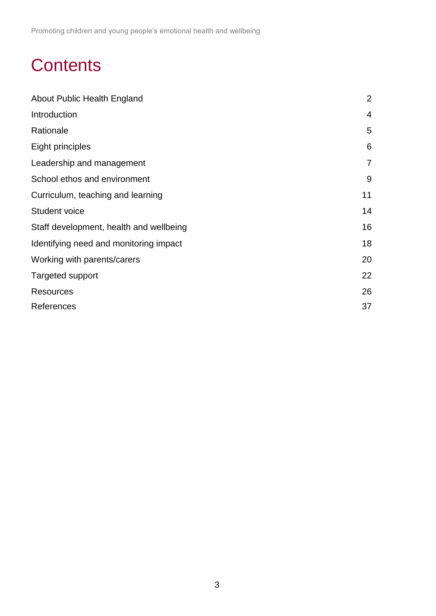# **Contents**

| About Public Health England             | $\overline{2}$ |
|-----------------------------------------|----------------|
| Introduction                            | 4              |
| Rationale                               | 5              |
| Eight principles                        | 6              |
| Leadership and management               | $\overline{7}$ |
| School ethos and environment            | 9              |
| Curriculum, teaching and learning       | 11             |
| <b>Student voice</b>                    | 14             |
| Staff development, health and wellbeing | 16             |
| Identifying need and monitoring impact  | 18             |
| Working with parents/carers             | 20             |
| <b>Targeted support</b>                 | 22             |
| Resources                               | 26             |
| References                              | 37             |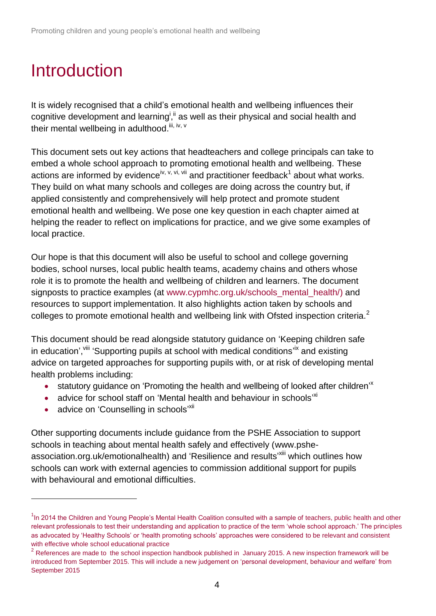# Introduction

It is widely recognised that a child's emotional health and wellbeing influences their cognitive development and learning<sup>i, ii</sup> as well as their physical and social health and their mental wellbeing in adulthood.<sup>iii, iv, v</sup>

This document sets out key actions that headteachers and college principals can take to embed a whole school approach to promoting emotional health and wellbeing. These actions are informed by evidence<sup>iv, v, vi, vii</sup> and practitioner feedback<sup>1</sup> about what works. They build on what many schools and colleges are doing across the country but, if applied consistently and comprehensively will help protect and promote student emotional health and wellbeing. We pose one key question in each chapter aimed at helping the reader to reflect on implications for practice, and we give some examples of local practice.

Our hope is that this document will also be useful to school and college governing bodies, school nurses, local public health teams, academy chains and others whose role it is to promote the health and wellbeing of children and learners. The document signposts to practice examples (at [www.cypmhc.org.uk/schools\\_mental\\_health/\)](http://www.cypmhc.org.uk/schools_mental_health/) and resources to support implementation. It also highlights action taken by schools and colleges to promote emotional health and wellbeing link with Ofsted inspection criteria.<sup>2</sup>

This document should be read alongside statutory guidance on 'Keeping children safe in education', vill 'Supporting pupils at school with medical conditions<sup>, ix</sup> and existing advice on targeted approaches for supporting pupils with, or at risk of developing mental health problems including:

- <span id="page-3-1"></span>• statutory guidance on 'Promoting the health and wellbeing of looked after children'<sup>x</sup>
- <span id="page-3-2"></span><span id="page-3-0"></span>• advice for school staff on 'Mental health and behaviour in schools<sup>, xi</sup>
- advice on 'Counselling in schools'<sup>xii</sup>

l

Other supporting documents include guidance from the PSHE Association to support schools in teaching about mental health safely and effectively [\(www.pshe](http://www.pshe-association.org.uk/emotionalhealth)[association.org.uk/emotionalhealth\)](http://www.pshe-association.org.uk/emotionalhealth) and 'Resilience and results'<sup>xiii</sup> which outlines how schools can work with external agencies to commission additional support for pupils with behavioural and emotional difficulties.

<sup>&</sup>lt;sup>1</sup>In 2014 the Children and Young People's Mental Health Coalition consulted with a sample of teachers, public health and other relevant professionals to test their understanding and application to practice of the term 'whole school approach.' The principles as advocated by 'Healthy Schools' or 'health promoting schools' approaches were considered to be relevant and consistent with effective whole school educational practice

 $2$  References are made to the school inspection handbook published in January 2015. A new inspection framework will be introduced from September 2015. This will include a new judgement on 'personal development, behaviour and welfare' from September 2015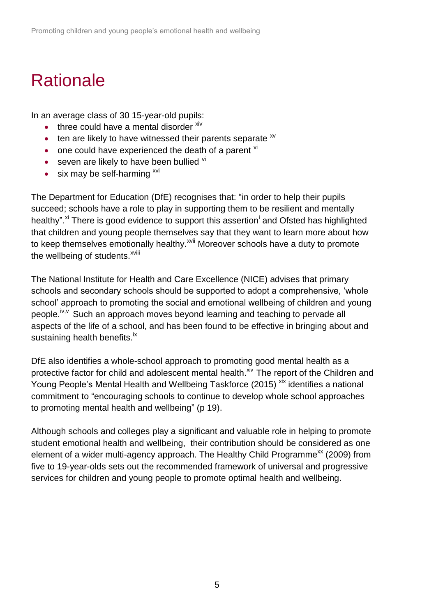# **Rationale**

In an average class of 30 15-year-old pupils:

- $\bullet$  three could have a mental disorder  $\frac{x}{y}$
- $\bullet$  ten are likely to have witnessed their parents separate  $\frac{xy}{x}$
- $\bullet$  one could have experienced the death of a parent  $\overline{v}$
- $\bullet$  seven are likely to have been bullied  $\overline{v}$
- $\bullet$  six may be self-harming  $\frac{xy}{x}$

The Department for Education (DfE) recognises that: "in order to help their pupils succeed; schools have a role to play in supporting them to be resilient and mentally healthy".<sup>[xi](#page-3-0)</sup> There is good evidence to support this assertion<sup>i</sup> and Ofsted has highlighted that children and young people themselves say that they want to learn more about how to keep themselves emotionally healthy.<sup>xvii</sup> Moreover schools have a duty to promote the wellbeing of students.<sup>xviii</sup>

The National Institute for Health and Care Excellence (NICE) advises that primary schools and secondary schools should be supported to adopt a comprehensive, 'whole school' approach to promoting the social and emotional wellbeing of children and young people.<sup>iv,v</sup> Such an approach moves beyond learning and teaching to pervade all aspects of the life of a school, and has been found to be effective in bringing about and sustaining health benefits.<sup>ix</sup>

DfE also identifies a whole-school approach to promoting good mental health as a protective factor for child and adolescent mental health.<sup>xiv</sup> The report of the Children and Young People's Mental Health and Wellbeing Taskforce (2015)<sup>xix</sup> identifies a national commitment to "encouraging schools to continue to develop whole school approaches to promoting mental health and wellbeing" (p 19).

Although schools and colleges play a significant and valuable role in helping to promote student emotional health and wellbeing, their contribution should be considered as one element of a wider multi-agency approach. The Healthy Child Programme<sup>xx</sup> (2009) from five to 19-year-olds sets out the recommended framework of universal and progressive services for children and young people to promote optimal health and wellbeing.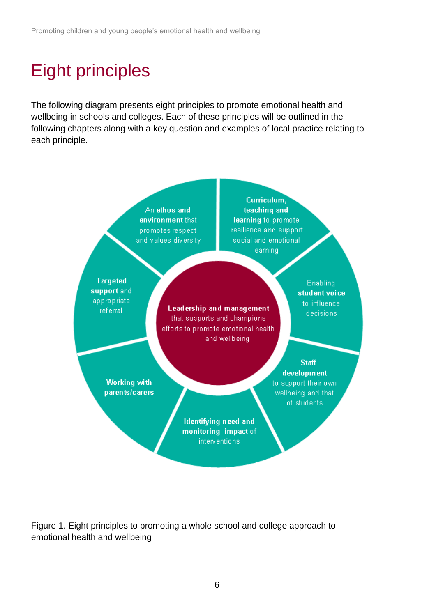# Eight principles

The following diagram presents eight principles to promote emotional health and wellbeing in schools and colleges. Each of these principles will be outlined in the following chapters along with a key question and examples of local practice relating to each principle.



Figure 1. Eight principles to promoting a whole school and college approach to emotional health and wellbeing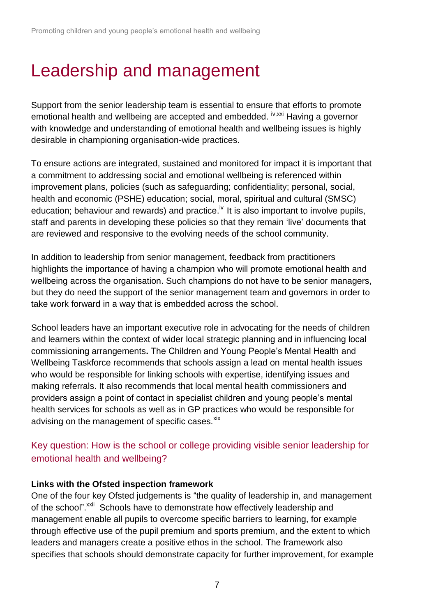# Leadership and management

Support from the senior leadership team is essential to ensure that efforts to promote emotional health and wellbeing are accepted and embedded. <sup>iv,xxi</sup> Having a governor with knowledge and understanding of emotional health and wellbeing issues is highly desirable in championing organisation-wide practices.

To ensure actions are integrated, sustained and monitored for impact it is important that a commitment to addressing social and emotional wellbeing is referenced within improvement plans, policies (such as safeguarding; confidentiality; personal, social, health and economic (PSHE) education; social, moral, spiritual and cultural (SMSC) education; behaviour and rewards) and practice.<sup>iv</sup> It is also important to involve pupils, staff and parents in developing these policies so that they remain 'live' documents that are reviewed and responsive to the evolving needs of the school community.

In addition to leadership from senior management, feedback from practitioners highlights the importance of having a champion who will promote emotional health and wellbeing across the organisation. Such champions do not have to be senior managers, but they do need the support of the senior management team and governors in order to take work forward in a way that is embedded across the school.

School leaders have an important executive role in advocating for the needs of children and learners within the context of wider local strategic planning and in influencing local commissioning arrangements**.** The Children and Young People's Mental Health and Wellbeing Taskforce recommends that schools assign a lead on mental health issues who would be responsible for linking schools with expertise, identifying issues and making referrals. It also recommends that local mental health commissioners and providers assign a point of contact in specialist children and young people's mental health services for schools as well as in GP practices who would be responsible for advising on the management of specific cases.<sup>xix</sup>

Key question: How is the school or college providing visible senior leadership for emotional health and wellbeing?

## **Links with the Ofsted inspection framework**

<span id="page-6-0"></span>One of the four key Ofsted judgements is "the quality of leadership in, and management of the school".<sup>XXii</sup> Schools have to demonstrate how effectively leadership and management enable all pupils to overcome specific barriers to learning, for example through effective use of the pupil premium and sports premium, and the extent to which leaders and managers create a positive ethos in the school. The framework also specifies that schools should demonstrate capacity for further improvement, for example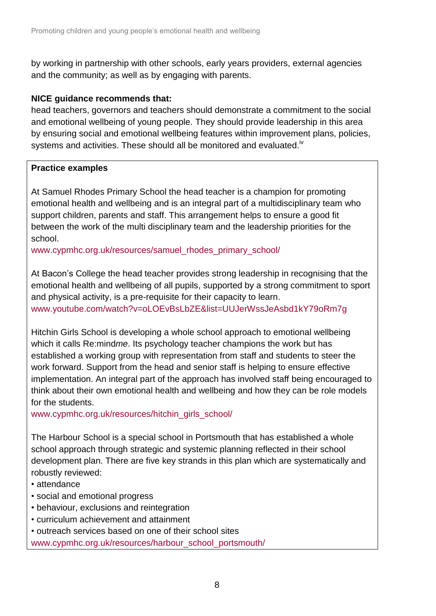by working in partnership with other schools, early years providers, external agencies and the community; as well as by engaging with parents.

### **NICE guidance recommends that:**

head teachers, governors and teachers should demonstrate a commitment to the social and emotional wellbeing of young people. They should provide leadership in this area by ensuring social and emotional wellbeing features within improvement plans, policies, systems and activities. These should all be monitored and evaluated.<sup>iv</sup>

## **Practice examples**

At Samuel Rhodes Primary School the head teacher is a champion for promoting emotional health and wellbeing and is an integral part of a multidisciplinary team who support children, parents and staff. This arrangement helps to ensure a good fit between the work of the multi disciplinary team and the leadership priorities for the school.

[www.cypmhc.org.uk/resources/samuel\\_rhodes\\_primary\\_school/](http://www.cypmhc.org.uk/resources/samuel_rhodes_primary_school/)

At Bacon's College the head teacher provides strong leadership in recognising that the emotional health and wellbeing of all pupils, supported by a strong commitment to sport and physical activity, is a pre-requisite for their capacity to learn. [www.youtube.com/watch?v=oLOEvBsLbZE&list=UUJerWssJeAsbd1kY79oRm7g](http://www.youtube.com/watch?v=oLOEvBsLbZE&list=UUJerWssJeAsbd1kY79oRm7g)

Hitchin Girls School is developing a whole school approach to emotional wellbeing which it calls Re:mind*me*. Its psychology teacher champions the work but has established a working group with representation from staff and students to steer the work forward. Support from the head and senior staff is helping to ensure effective implementation. An integral part of the approach has involved staff being encouraged to think about their own emotional health and wellbeing and how they can be role models for the students.

[www.cypmhc.org.uk/resources/hitchin\\_girls\\_school/](http://www.cypmhc.org.uk/resources/hitchin_girls_school/)

The Harbour School is a special school in Portsmouth that has established a whole school approach through strategic and systemic planning reflected in their school development plan. There are five key strands in this plan which are systematically and robustly reviewed:

- attendance
- social and emotional progress
- behaviour, exclusions and reintegration
- curriculum achievement and attainment
- outreach services based on one of their school sites [www.cypmhc.org.uk/resources/harbour\\_school\\_portsmouth/](http://www.cypmhc.org.uk/resources/harbour_school_portsmouth/)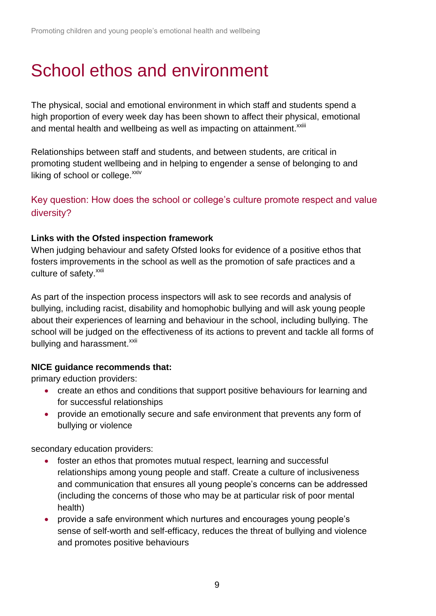# School ethos and environment

The physical, social and emotional environment in which staff and students spend a high proportion of every week day has been shown to affect their physical, emotional and mental health and wellbeing as well as impacting on attainment.<sup>xxiii</sup>

Relationships between staff and students, and between students, are critical in promoting student wellbeing and in helping to engender a sense of belonging to and liking of school or college. $^{xxiv}$ 

Key question: How does the school or college's culture promote respect and value diversity?

### **Links with the Ofsted inspection framework**

When judging behaviour and safety Ofsted looks for evidence of a positive ethos that fosters improvements in the school as well as the promotion of safe practices and a culture of safety.<sup>xxii</sup>

As part of the inspection process inspectors will ask to see records and analysis of bullying, including racist, disability and homophobic bullying and will ask young people about their experiences of learning and behaviour in the school, including bullying. The school will be judged on the effectiveness of its actions to prevent and tackle all forms of bullying and harassment.<sup>[xxii](#page-6-0)</sup>

### **NICE guidance recommends that:**

primary eduction providers:

- create an ethos and conditions that support positive behaviours for learning and for successful relationships
- provide an emotionally secure and safe environment that prevents any form of bullying or violence

secondary education providers:

- foster an ethos that promotes mutual respect, learning and successful relationships among young people and staff. Create a culture of inclusiveness and communication that ensures all young people's concerns can be addressed (including the concerns of those who may be at particular risk of poor mental health)
- provide a safe environment which nurtures and encourages young people's sense of self-worth and self-efficacy, reduces the threat of bullying and violence and promotes positive behaviours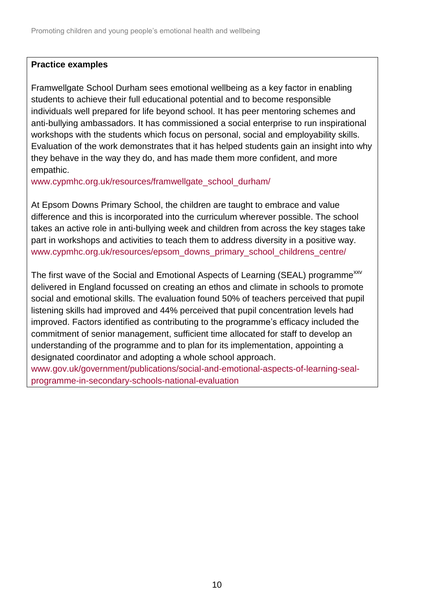### **Practice examples**

Framwellgate School Durham sees emotional wellbeing as a key factor in enabling students to achieve their full educational potential and to become responsible individuals well prepared for life beyond school. It has peer mentoring schemes and anti-bullying ambassadors. It has commissioned a social enterprise to run inspirational workshops with the students which focus on personal, social and employability skills. Evaluation of the work demonstrates that it has helped students gain an insight into why they behave in the way they do, and has made them more confident, and more empathic.

[www.cypmhc.org.uk/resources/framwellgate\\_school\\_durham/](http://www.cypmhc.org.uk/resources/framwellgate_school_durham/)

At Epsom Downs Primary School, the children are taught to embrace and value difference and this is incorporated into the curriculum wherever possible. The school takes an active role in anti-bullying week and children from across the key stages take part in workshops and activities to teach them to address diversity in a positive way. [www.cypmhc.org.uk/resources/epsom\\_downs\\_primary\\_school\\_childrens\\_centre/](http://www.cypmhc.org.uk/resources/epsom_downs_primary_school_childrens_centre/)

The first wave of the Social and Emotional Aspects of Learning (SEAL) programme<sup>xxv</sup> delivered in England focussed on creating an ethos and climate in schools to promote social and emotional skills. The evaluation found 50% of teachers perceived that pupil listening skills had improved and 44% perceived that pupil concentration levels had improved. Factors identified as contributing to the programme's efficacy included the commitment of senior management, sufficient time allocated for staff to develop an understanding of the programme and to plan for its implementation, appointing a designated coordinator and adopting a whole school approach. [www.gov.uk/government/publications/social-and-emotional-aspects-of-learning-seal-](https://www.gov.uk/government/publications/social-and-emotional-aspects-of-learning-seal-programme-in-secondary-schools-national-evaluation)

[programme-in-secondary-schools-national-evaluation](https://www.gov.uk/government/publications/social-and-emotional-aspects-of-learning-seal-programme-in-secondary-schools-national-evaluation)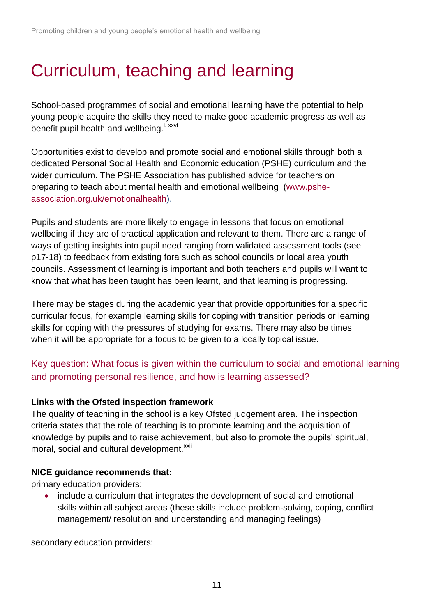# Curriculum, teaching and learning

School-based programmes of social and emotional learning have the potential to help young people acquire the skills they need to make good academic progress as well as benefit pupil health and wellbeing.<sup>i, xxvi</sup>

Opportunities exist to develop and promote social and emotional skills through both a dedicated Personal Social Health and Economic education (PSHE) curriculum and the wider curriculum. The PSHE Association has published advice for teachers on preparing to teach about mental health and emotional wellbeing [\(www.pshe](http://www.pshe-association.org.uk/emotionalhealth)[association.org.uk/emotionalhealth\)](http://www.pshe-association.org.uk/emotionalhealth).

Pupils and students are more likely to engage in lessons that focus on emotional wellbeing if they are of practical application and relevant to them. There are a range of ways of getting insights into pupil need ranging from validated assessment tools (see p17-18) to feedback from existing fora such as school councils or local area youth councils. Assessment of learning is important and both teachers and pupils will want to know that what has been taught has been learnt, and that learning is progressing.

There may be stages during the academic year that provide opportunities for a specific curricular focus, for example learning skills for coping with transition periods or learning skills for coping with the pressures of studying for exams. There may also be times when it will be appropriate for a focus to be given to a locally topical issue.

# Key question: What focus is given within the curriculum to social and emotional learning and promoting personal resilience, and how is learning assessed?

## **Links with the Ofsted inspection framework**

The quality of teaching in the school is a key Ofsted judgement area. The inspection criteria states that the role of teaching is to promote learning and the acquisition of knowledge by pupils and to raise achievement, but also to promote the pupils' spiritual, moral, social and cultural development.<sup>[xxii](#page-6-0)</sup>

### **NICE guidance recommends that:**

primary education providers:

• include a curriculum that integrates the development of social and emotional skills within all subject areas (these skills include problem-solving, coping, conflict management/ resolution and understanding and managing feelings)

secondary education providers: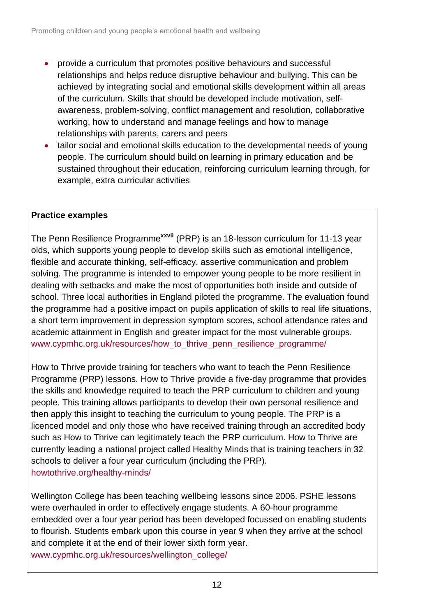- provide a curriculum that promotes positive behaviours and successful relationships and helps reduce disruptive behaviour and bullying. This can be achieved by integrating social and emotional skills development within all areas of the curriculum. Skills that should be developed include motivation, selfawareness, problem-solving, conflict management and resolution, collaborative working, how to understand and manage feelings and how to manage relationships with parents, carers and peers
- tailor social and emotional skills education to the developmental needs of young people. The curriculum should build on learning in primary education and be sustained throughout their education, reinforcing curriculum learning through, for example, extra curricular activities

## **Practice examples**

The Penn Resilience Programme**xxvii** (PRP) is an 18-lesson curriculum for 11-13 year olds, which supports young people to develop skills such as emotional intelligence, flexible and accurate thinking, self-efficacy, assertive communication and problem solving. The programme is intended to empower young people to be more resilient in dealing with setbacks and make the most of opportunities both inside and outside of school. Three local authorities in England piloted the programme. The evaluation found the programme had a positive impact on pupils application of skills to real life situations, a short term improvement in depression symptom scores, school attendance rates and academic attainment in English and greater impact for the most vulnerable groups. www.cypmhc.org.uk/resources/how to thrive penn resilience programme/

How to Thrive provide training for teachers who want to teach the Penn Resilience Programme (PRP) lessons. How to Thrive provide a five-day programme that provides the skills and knowledge required to teach the PRP curriculum to children and young people. This training allows participants to develop their own personal resilience and then apply this insight to teaching the curriculum to young people. The PRP is a licenced model and only those who have received training through an accredited body such as How to Thrive can legitimately teach the PRP curriculum. How to Thrive are currently leading a national project called Healthy Minds that is training teachers in 32 schools to deliver a four year curriculum (including the PRP). howtothrive.org/healthy-minds/

Wellington College has been teaching wellbeing lessons since 2006. PSHE lessons were overhauled in order to effectively engage students. A 60-hour programme embedded over a four year period has been developed focussed on enabling students to flourish. Students embark upon this course in year 9 when they arrive at the school and complete it at the end of their lower sixth form year. [www.cypmhc.org.uk/resources/wellington\\_college/](http://www.cypmhc.org.uk/resources/wellington_college/)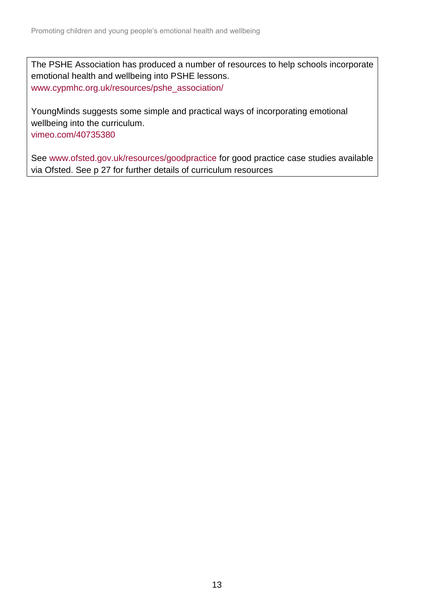The PSHE Association has produced a number of resources to help schools incorporate emotional health and wellbeing into PSHE lessons. [www.cypmhc.org.uk/resources/pshe\\_association/](http://www.cypmhc.org.uk/resources/pshe_association/)

YoungMinds suggests some simple and practical ways of incorporating emotional wellbeing into the curriculum. [vimeo.com/40735380](http://vimeo.com/40735380)

See [www.ofsted.gov.uk/resources/goodpractice](http://www.ofsted.gov.uk/resources/goodpractice) for good practice case studies available via Ofsted. See p 27 for further details of curriculum resources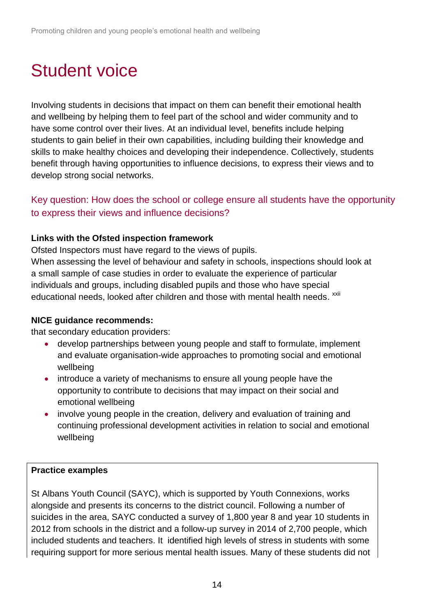# Student voice

Involving students in decisions that impact on them can benefit their emotional health and wellbeing by helping them to feel part of the school and wider community and to have some control over their lives. At an individual level, benefits include helping students to gain belief in their own capabilities, including building their knowledge and skills to make healthy choices and developing their independence. Collectively, students benefit through having opportunities to influence decisions, to express their views and to develop strong social networks.

# Key question: How does the school or college ensure all students have the opportunity to express their views and influence decisions?

## **Links with the Ofsted inspection framework**

Ofsted Inspectors must have regard to the views of pupils.

When assessing the level of behaviour and safety in schools, inspections should look at a small sample of case studies in order to evaluate the experience of particular individuals and groups, including disabled pupils and those who have special educational needs, looked after children and those with mental health needs. <sup>[xxii](#page-6-0)</sup>

### **NICE guidance recommends:**

that secondary education providers:

- develop partnerships between young people and staff to formulate, implement and evaluate organisation-wide approaches to promoting social and emotional wellbeing
- introduce a variety of mechanisms to ensure all young people have the opportunity to contribute to decisions that may impact on their social and emotional wellbeing
- involve young people in the creation, delivery and evaluation of training and continuing professional development activities in relation to social and emotional wellbeing

### **Practice examples**

St Albans Youth Council (SAYC), which is supported by Youth Connexions, works alongside and presents its concerns to the district council. Following a number of suicides in the area, SAYC conducted a survey of 1,800 year 8 and year 10 students in 2012 from schools in the district and a follow-up survey in 2014 of 2,700 people, which included students and teachers. It identified high levels of stress in students with some requiring support for more serious mental health issues. Many of these students did not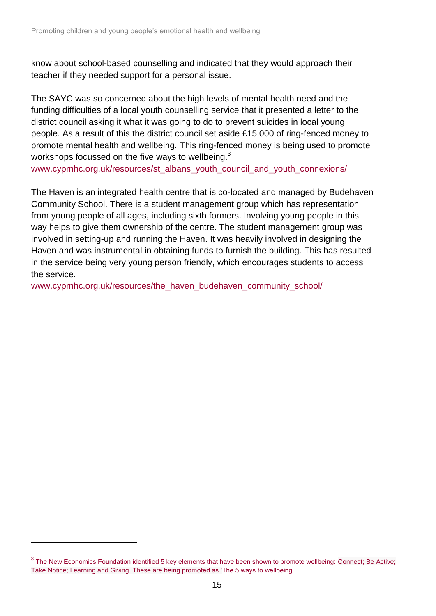know about school-based counselling and indicated that they would approach their teacher if they needed support for a personal issue.

The SAYC was so concerned about the high levels of mental health need and the funding difficulties of a local youth counselling service that it presented a letter to the district council asking it what it was going to do to prevent suicides in local young people. As a result of this the district council set aside £15,000 of ring-fenced money to promote mental health and wellbeing. This ring-fenced money is being used to promote workshops focussed on the five ways to wellbeing. $^3$ 

www.cypmhc.org.uk/resources/st\_albans\_youth\_council\_and\_youth\_connexions/

The Haven is an integrated health centre that is co-located and managed by Budehaven Community School. There is a student management group which has representation from young people of all ages, including sixth formers. Involving young people in this way helps to give them ownership of the centre. The student management group was involved in setting-up and running the Haven. It was heavily involved in designing the Haven and was instrumental in obtaining funds to furnish the building. This has resulted in the service being very young person friendly, which encourages students to access the service.

[www.cypmhc.org.uk/resources/the\\_haven\\_budehaven\\_community\\_school/](http://www.cypmhc.org.uk/resources/the_haven_budehaven_community_school/)

l

 $3$  The New Economics Foundation identified 5 key elements that have been shown to promote wellbeing: Connect; Be Active; Take Notice; Learning and Giving. These are being promoted as 'The 5 ways to wellbeing'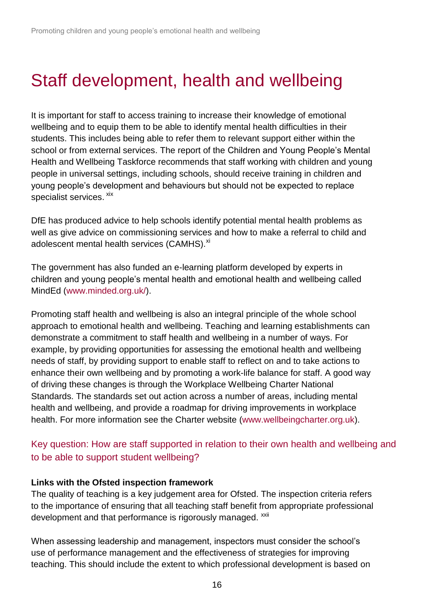# Staff development, health and wellbeing

It is important for staff to access training to increase their knowledge of emotional wellbeing and to equip them to be able to identify mental health difficulties in their students. This includes being able to refer them to relevant support either within the school or from external services. The report of the Children and Young People's Mental Health and Wellbeing Taskforce recommends that staff working with children and young people in universal settings, including schools, should receive training in children and young people's development and behaviours but should not be expected to replace specialist services. <sup>xix</sup>

DfE has produced advice to help schools identify potential mental health problems as well as give advice on commissioning services and how to make a referral to child and adolescent mental health services (CAMHS).<sup>[xi](#page-3-0)</sup>

The government has also funded an e-learning platform developed by experts in children and young people's mental health and emotional health and wellbeing called MindEd [\(www.minded.org.uk/\)](https://www.minded.org.uk/).

Promoting staff health and wellbeing is also an integral principle of the whole school approach to emotional health and wellbeing. Teaching and learning establishments can demonstrate a commitment to staff health and wellbeing in a number of ways. For example, by providing opportunities for assessing the emotional health and wellbeing needs of staff, by providing support to enable staff to reflect on and to take actions to enhance their own wellbeing and by promoting a work-life balance for staff. A good way of driving these changes is through the Workplace Wellbeing Charter National Standards. The standards set out action across a number of areas, including mental health and wellbeing, and provide a roadmap for driving improvements in workplace health. For more information see the Charter website [\(www.wellbeingcharter.org.uk\)](http://www.wellbeingcharter.org.uk/).

# Key question: How are staff supported in relation to their own health and wellbeing and to be able to support student wellbeing?

### **Links with the Ofsted inspection framework**

The quality of teaching is a key judgement area for Ofsted. The inspection criteria refers to the importance of ensuring that all teaching staff benefit from appropriate professional development and that performance is rigorously managed. <sup>xxii</sup>

When assessing leadership and management, inspectors must consider the school's use of performance management and the effectiveness of strategies for improving teaching. This should include the extent to which professional development is based on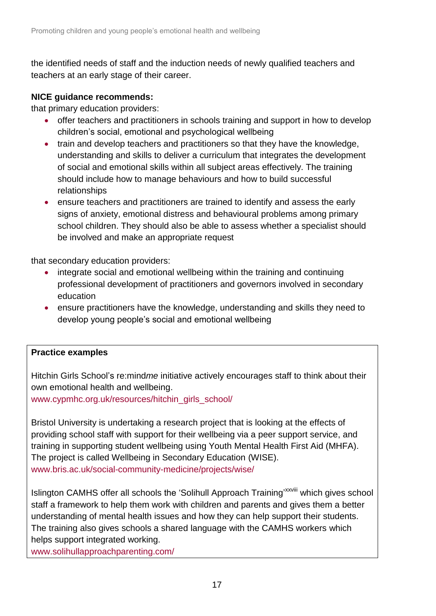the identified needs of staff and the induction needs of newly qualified teachers and teachers at an early stage of their career.

### **NICE guidance recommends:**

that primary education providers:

- offer teachers and practitioners in schools training and support in how to develop children's social, emotional and psychological wellbeing
- train and develop teachers and practitioners so that they have the knowledge, understanding and skills to deliver a curriculum that integrates the development of social and emotional skills within all subject areas effectively. The training should include how to manage behaviours and how to build successful relationships
- ensure teachers and practitioners are trained to identify and assess the early signs of anxiety, emotional distress and behavioural problems among primary school children. They should also be able to assess whether a specialist should be involved and make an appropriate request

that secondary education providers:

- integrate social and emotional wellbeing within the training and continuing professional development of practitioners and governors involved in secondary education
- ensure practitioners have the knowledge, understanding and skills they need to develop young people's social and emotional wellbeing

### **Practice examples**

Hitchin Girls School's re:mind*me* initiative actively encourages staff to think about their own emotional health and wellbeing.

[www.cypmhc.org.uk/resources/hitchin\\_girls\\_school/](http://www.cypmhc.org.uk/resources/hitchin_girls_school/)

Bristol University is undertaking a research project that is looking at the effects of providing school staff with support for their wellbeing via a peer support service, and training in supporting student wellbeing using Youth Mental Health First Aid (MHFA). The project is called Wellbeing in Secondary Education (WISE). [www.bris.ac.uk/social-community-medicine/projects/wise/](http://www.bris.ac.uk/social-community-medicine/projects/wise/)

Islington CAMHS offer all schools the 'Solihull Approach Training'<sup>xxviii</sup> which gives school staff a framework to help them work with children and parents and gives them a better understanding of mental health issues and how they can help support their students. The training also gives schools a shared language with the CAMHS workers which helps support integrated working.

www.solihullapproachparenting.com/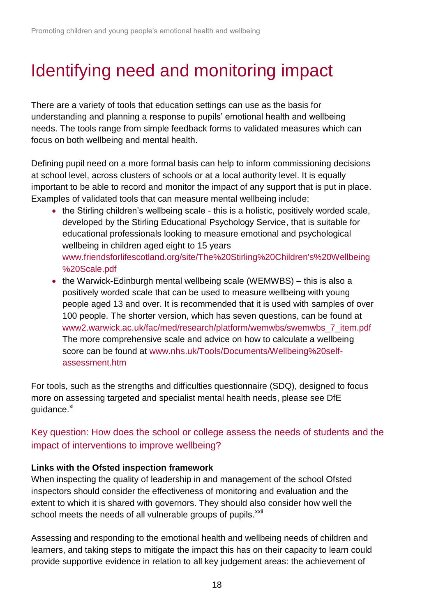# Identifying need and monitoring impact

There are a variety of tools that education settings can use as the basis for understanding and planning a response to pupils' emotional health and wellbeing needs. The tools range from simple feedback forms to validated measures which can focus on both wellbeing and mental health.

Defining pupil need on a more formal basis can help to inform commissioning decisions at school level, across clusters of schools or at a local authority level. It is equally important to be able to record and monitor the impact of any support that is put in place. Examples of validated tools that can measure mental wellbeing include:

- the Stirling children's wellbeing scale this is a holistic, positively worded scale, developed by the Stirling Educational Psychology Service, that is suitable for educational professionals looking to measure emotional and psychological wellbeing in children aged eight to 15 years [www.friendsforlifescotland.org/site/The%20Stirling%20Children's%20Wellbeing](http://www.friendsforlifescotland.org/site/The%20Stirling%20Children) [%20Scale.pdf](http://www.friendsforlifescotland.org/site/The%20Stirling%20Children)
- the Warwick-Edinburgh mental wellbeing scale (WEMWBS) this is also a positively worded scale that can be used to measure wellbeing with young people aged 13 and over. It is recommended that it is used with samples of over 100 people. The shorter version, which has seven questions, can be found at [www2.warwick.ac.uk/fac/med/research/platform/wemwbs/swemwbs\\_7\\_item.pdf](http://www2.warwick.ac.uk/fac/med/research/platform/wemwbs/swemwbs_7_item.pdf) The more comprehensive scale and advice on how to calculate a wellbeing score can be found at [www.nhs.uk/Tools/Documents/Wellbeing%20self](http://www.nhs.uk/Tools/Documents/Wellbeing%20self-assessment.htm)[assessment.htm](http://www.nhs.uk/Tools/Documents/Wellbeing%20self-assessment.htm)

For tools, such as the strengths and difficulties questionnaire (SDQ), designed to focus more on assessing targeted and specialist mental health needs, please see DfE guidance.<sup>[xi](#page-3-0)</sup>

Key question: How does the school or college assess the needs of students and the impact of interventions to improve wellbeing?

## **Links with the Ofsted inspection framework**

When inspecting the quality of leadership in and management of the school Ofsted inspectors should consider the effectiveness of monitoring and evaluation and the extent to which it is shared with governors. They should also consider how well the school meets the needs of all vulnerable groups of pupils.<sup>[xxii](#page-6-0)</sup>

Assessing and responding to the emotional health and wellbeing needs of children and learners, and taking steps to mitigate the impact this has on their capacity to learn could provide supportive evidence in relation to all key judgement areas: the achievement of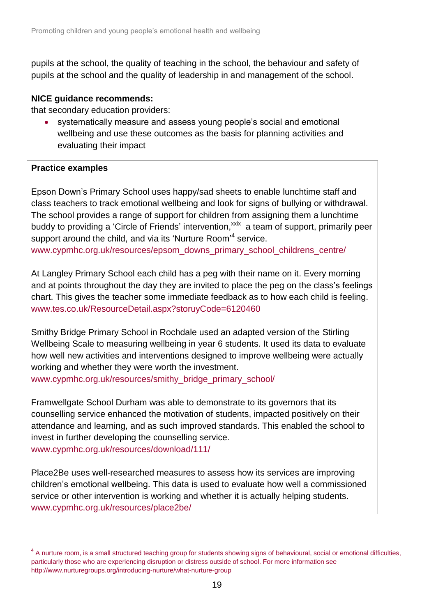pupils at the school, the quality of teaching in the school, the behaviour and safety of pupils at the school and the quality of leadership in and management of the school.

### **NICE guidance recommends:**

that secondary education providers:

 systematically measure and assess young people's social and emotional wellbeing and use these outcomes as the basis for planning activities and evaluating their impact

### **Practice examples**

l

Epson Down's Primary School uses happy/sad sheets to enable lunchtime staff and class teachers to track emotional wellbeing and look for signs of bullying or withdrawal. The school provides a range of support for children from assigning them a lunchtime buddy to providing a 'Circle of Friends' intervention,<sup>xxix</sup> a team of support, primarily peer support around the child, and via its 'Nurture Room'<sup>4</sup> service. [www.cypmhc.org.uk/resources/epsom\\_downs\\_primary\\_school\\_childrens\\_centre/](http://www.cypmhc.org.uk/resources/epsom_downs_primary_school_childrens_centre/)

At Langley Primary School each child has a peg with their name on it. Every morning and at points throughout the day they are invited to place the peg on the class's feelings chart. This gives the teacher some immediate feedback as to how each child is feeling. [www.tes.co.uk/ResourceDetail.aspx?storuyCode=6120460](http://www.tes.co.uk/ResourceDetail.aspx?storuyCode=6120460)

Smithy Bridge Primary School in Rochdale used an adapted version of the Stirling Wellbeing Scale to measuring wellbeing in year 6 students. It used its data to evaluate how well new activities and interventions designed to improve wellbeing were actually working and whether they were worth the investment.

[www.cypmhc.org.uk/resources/smithy\\_bridge\\_primary\\_school/](http://www.cypmhc.org.uk/resources/smithy_bridge_primary_school/)

Framwellgate School Durham was able to demonstrate to its governors that its counselling service enhanced the motivation of students, impacted positively on their attendance and learning, and as such improved standards. This enabled the school to invest in further developing the counselling service. [www.cypmhc.org.uk/resources/download/111/](http://www.cypmhc.org.uk/resources/download/111/)

Place2Be uses well-researched measures to assess how its services are improving children's emotional wellbeing. This data is used to evaluate how well a commissioned service or other intervention is working and whether it is actually helping students. [www.cypmhc.org.uk/resources/place2be/](http://www.cypmhc.org.uk/resources/place2be/)

<sup>&</sup>lt;sup>4</sup> A nurture room, is a small structured teaching group for students showing signs of behavioural, social or emotional difficulties, particularly those who are experiencing disruption or distress outside of school. For more information see http://www.nurturegroups.org/introducing-nurture/what-nurture-group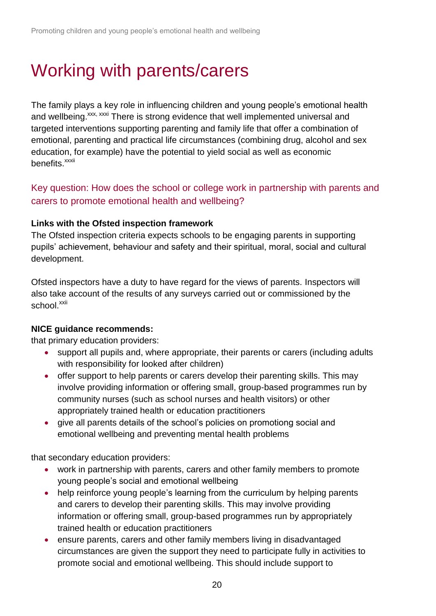# Working with parents/carers

The family plays a key role in influencing children and young people's emotional health and wellbeing.<sup>xxx, xxxi</sup> There is strong evidence that well implemented universal and targeted interventions supporting parenting and family life that offer a combination of emotional, parenting and practical life circumstances (combining drug, alcohol and sex education, for example) have the potential to yield social as well as economic benefits.<sup>xxxii</sup>

Key question: How does the school or college work in partnership with parents and carers to promote emotional health and wellbeing?

### **Links with the Ofsted inspection framework**

The Ofsted inspection criteria expects schools to be engaging parents in supporting pupils' achievement, behaviour and safety and their spiritual, moral, social and cultural development.

Ofsted inspectors have a duty to have regard for the views of parents. Inspectors will also take account of the results of any surveys carried out or commissioned by the school.<sup>xxii</sup>

### **NICE guidance recommends:**

that primary education providers:

- support all pupils and, where appropriate, their parents or carers (including adults with responsibility for looked after children)
- offer support to help parents or carers develop their parenting skills. This may involve providing information or offering small, group-based programmes run by community nurses (such as school nurses and health visitors) or other appropriately trained health or education practitioners
- give all parents details of the school's policies on promotiong social and emotional wellbeing and preventing mental health problems

that secondary education providers:

- work in partnership with parents, carers and other family members to promote young people's social and emotional wellbeing
- help reinforce young people's learning from the curriculum by helping parents and carers to develop their parenting skills. This may involve providing information or offering small, group-based programmes run by appropriately trained health or education practitioners
- ensure parents, carers and other family members living in disadvantaged circumstances are given the support they need to participate fully in activities to promote social and emotional wellbeing. This should include support to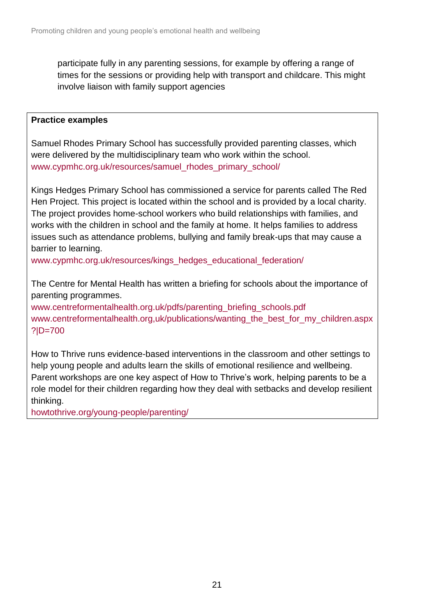participate fully in any parenting sessions, for example by offering a range of times for the sessions or providing help with transport and childcare. This might involve liaison with family support agencies

### **Practice examples**

Samuel Rhodes Primary School has successfully provided parenting classes, which were delivered by the multidisciplinary team who work within the school. [www.cypmhc.org.uk/resources/samuel\\_rhodes\\_primary\\_school/](http://www.cypmhc.org.uk/resources/samuel_rhodes_primary_school/)

Kings Hedges Primary School has commissioned a service for parents called The Red Hen Project. This project is located within the school and is provided by a local charity. The project provides home-school workers who build relationships with families, and works with the children in school and the family at home. It helps families to address issues such as attendance problems, bullying and family break-ups that may cause a barrier to learning.

www.cypmhc.org.uk/resources/kings\_hedges\_educational\_federation/

The Centre for Mental Health has written a briefing for schools about the importance of parenting programmes.

[www.centreformentalhealth.org.uk/pdfs/parenting\\_briefing\\_schools.pdf](http://www.centreformentalhealth.org.uk/pdfs/parenting_briefing_schools.pdf) [www.centreformentalhealth.org,uk/publications/wanting\\_the\\_best\\_for\\_my\\_children.aspx](http://www.centreformentalhealth.org,uk/publications/wanting_the_best_for_my_children.aspx?|D=700) [?|D=700](http://www.centreformentalhealth.org,uk/publications/wanting_the_best_for_my_children.aspx?|D=700)

How to Thrive runs evidence-based interventions in the classroom and other settings to help young people and adults learn the skills of emotional resilience and wellbeing. Parent workshops are one key aspect of How to Thrive's work, helping parents to be a role model for their children regarding how they deal with setbacks and develop resilient thinking.

[howtothrive.org/young-people/parenting/](http://howtothrive.org/young-people/parenting/)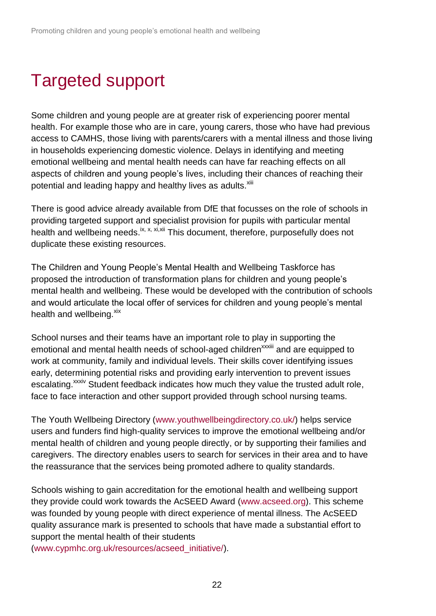# Targeted support

Some children and young people are at greater risk of experiencing poorer mental health. For example those who are in care, young carers, those who have had previous access to CAMHS, those living with parents/carers with a mental illness and those living in households experiencing domestic violence. Delays in identifying and meeting emotional wellbeing and mental health needs can have far reaching effects on all aspects of children and young people's lives, including their chances of reaching their potential and leading happy and healthy lives as adults.<sup>xiii</sup>

There is good advice already available from DfE that focusses on the role of schools in providing targeted support and specialist provision for pupils with particular mental health and wellbeing needs.<sup>[ix,](#page-3-1) [x,](#page-3-2) xi,xii</sup> This document, therefore, purposefully does not duplicate these existing resources.

The Children and Young People's Mental Health and Wellbeing Taskforce has proposed the introduction of transformation plans for children and young people's mental health and wellbeing. These would be developed with the contribution of schools and would articulate the local offer of services for children and young people's mental health and wellbeing. $x$ <sup>xix</sup>

School nurses and their teams have an important role to play in supporting the emotional and mental health needs of school-aged children<sup>xxxiii</sup> and are equipped to work at community, family and individual levels. Their skills cover identifying issues early, determining potential risks and providing early intervention to prevent issues escalating.<sup>xxxiv</sup> Student feedback indicates how much they value the trusted adult role, face to face interaction and other support provided through school nursing teams.

The Youth Wellbeing Directory [\(www.youthwellbeingdirectory.co.uk/\)](http://www.youthwellbeingdirectory.co.uk/) helps service users and funders find high-quality services to improve the emotional wellbeing and/or mental health of children and young people directly, or by supporting their families and caregivers. The directory enables users to search for services in their area and to have the reassurance that the services being promoted adhere to quality standards.

Schools wishing to gain accreditation for the emotional health and wellbeing support they provide could work towards the AcSEED Award [\(www.acseed.org\)](http://www.acseed.org/). This scheme was founded by young people with direct experience of mental illness. The AcSEED quality assurance mark is presented to schools that have made a substantial effort to support the mental health of their students

[\(www.cypmhc.org.uk/resources/acseed\\_initiative/\)](http://www.cypmhc.org.uk/resources/acseed_initiative/).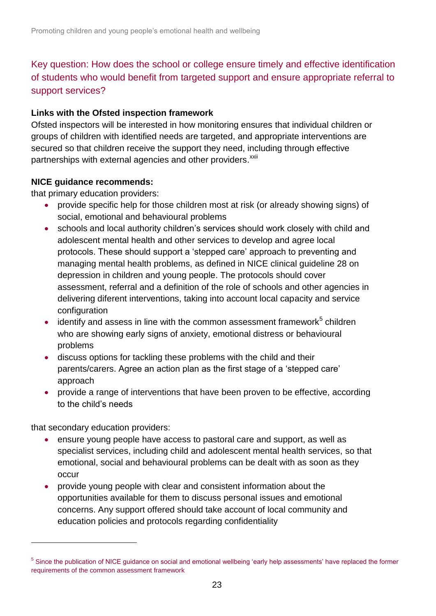Key question: How does the school or college ensure timely and effective identification of students who would benefit from targeted support and ensure appropriate referral to support services?

### **Links with the Ofsted inspection framework**

Ofsted inspectors will be interested in how monitoring ensures that individual children or groups of children with identified needs are targeted, and appropriate interventions are secured so that children receive the support they need, including through effective partnerships with external agencies and other providers.<sup>[xxii](#page-6-0)</sup>

### **NICE guidance recommends:**

that primary education providers:

- provide specific help for those children most at risk (or already showing signs) of social, emotional and behavioural problems
- schools and local authority children's services should work closely with child and adolescent mental health and other services to develop and agree local protocols. These should support a 'stepped care' approach to preventing and managing mental health problems, as defined in NICE clinical guideline 28 on depression in children and young people. The protocols should cover assessment, referral and a definition of the role of schools and other agencies in delivering diferent interventions, taking into account local capacity and service configuration
- $\bullet$  identify and assess in line with the common assessment framework<sup>5</sup> children who are showing early signs of anxiety, emotional distress or behavioural problems
- discuss options for tackling these problems with the child and their parents/carers. Agree an action plan as the first stage of a 'stepped care' approach
- provide a range of interventions that have been proven to be effective, according to the child's needs

that secondary education providers:

l

- ensure young people have access to pastoral care and support, as well as specialist services, including child and adolescent mental health services, so that emotional, social and behavioural problems can be dealt with as soon as they occur
- provide young people with clear and consistent information about the opportunities available for them to discuss personal issues and emotional concerns. Any support offered should take account of local community and education policies and protocols regarding confidentiality

<sup>&</sup>lt;sup>5</sup> Since the publication of NICE guidance on social and emotional wellbeing 'early help assessments' have replaced the former requirements of the common assessment framework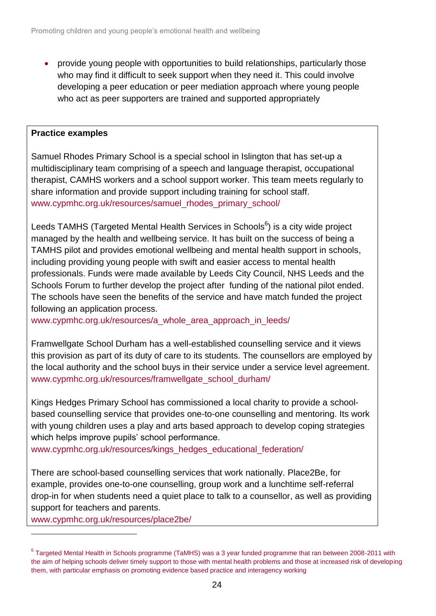provide young people with opportunities to build relationships, particularly those who may find it difficult to seek support when they need it. This could involve developing a peer education or peer mediation approach where young people who act as peer supporters are trained and supported appropriately

### **Practice examples**

Samuel Rhodes Primary School is a special school in Islington that has set-up a multidisciplinary team comprising of a speech and language therapist, occupational therapist, CAMHS workers and a school support worker. This team meets regularly to share information and provide support including training for school staff. [www.cypmhc.org.uk/resources/samuel\\_rhodes\\_primary\\_school/](http://www.cypmhc.org.uk/resources/samuel_rhodes_primary_school/)

Leeds TAMHS (Targeted Mental Health Services in Schools<sup>6</sup>) is a city wide project managed by the health and wellbeing service. It has built on the success of being a TAMHS pilot and provides emotional wellbeing and mental health support in schools, including providing young people with swift and easier access to mental health professionals. Funds were made available by Leeds City Council, NHS Leeds and the Schools Forum to further develop the project after funding of the national pilot ended. The schools have seen the benefits of the service and have match funded the project following an application process.

[www.cypmhc.org.uk/resources/a\\_whole\\_area\\_approach\\_in\\_leeds/](http://www.cypmhc.org.uk/resources/a_whole_area_approach_in_leeds/)

Framwellgate School Durham has a well-established counselling service and it views this provision as part of its duty of care to its students. The counsellors are employed by the local authority and the school buys in their service under a service level agreement. [www.cypmhc.org.uk/resources/framwellgate\\_school\\_durham/](http://www.cypmhc.org.uk/resources/framwellgate_school_durham/)

Kings Hedges Primary School has commissioned a local charity to provide a schoolbased counselling service that provides one-to-one counselling and mentoring. Its work with young children uses a play and arts based approach to develop coping strategies which helps improve pupils' school performance.

[www.cypmhc.org.uk/resources/kings\\_hedges\\_educational\\_federation/](http://www.cypmhc.org.uk/resources/kings_hedges_educational_federation/)

There are school-based counselling services that work nationally. Place2Be, for example, provides one-to-one counselling, group work and a lunchtime self-referral drop-in for when students need a quiet place to talk to a counsellor, as well as providing support for teachers and parents.

[www.cypmhc.org.uk/resources/place2be/](http://www.cypmhc.org.uk/resources/place2be/)

l

<sup>6</sup> Targeted Mental Health in Schools programme (TaMHS) was a 3 year funded programme that ran between 2008-2011 with the aim of helping schools deliver timely support to those with mental health problems and those at increased risk of developing them, with particular emphasis on promoting evidence based practice and interagency working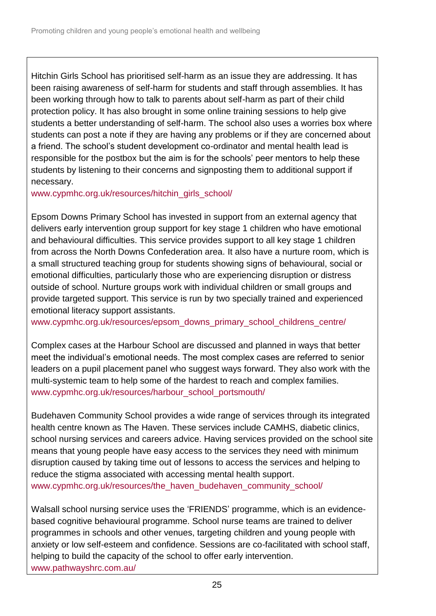Hitchin Girls School has prioritised self-harm as an issue they are addressing. It has been raising awareness of self-harm for students and staff through assemblies. It has been working through how to talk to parents about self-harm as part of their child protection policy. It has also brought in some online training sessions to help give students a better understanding of self-harm. The school also uses a worries box where students can post a note if they are having any problems or if they are concerned about a friend. The school's student development co-ordinator and mental health lead is responsible for the postbox but the aim is for the schools' peer mentors to help these students by listening to their concerns and signposting them to additional support if necessary.

[www.cypmhc.org.uk/resources/hitchin\\_girls\\_school/](http://www.cypmhc.org.uk/resources/hitchin_girls_school/)

Epsom Downs Primary School has invested in support from an external agency that delivers early intervention group support for key stage 1 children who have emotional and behavioural difficulties. This service provides support to all key stage 1 children from across the North Downs Confederation area. It also have a nurture room, which is a small structured teaching group for students showing signs of behavioural, social or emotional difficulties, particularly those who are experiencing disruption or distress outside of school. Nurture groups work with individual children or small groups and provide targeted support. This service is run by two specially trained and experienced emotional literacy support assistants.

[www.cypmhc.org.uk/resources/epsom\\_downs\\_primary\\_school\\_childrens\\_centre/](http://www.cypmhc.org.uk/resources/epsom_downs_primary_school_childrens_centre/)

Complex cases at the Harbour School are discussed and planned in ways that better meet the individual's emotional needs. The most complex cases are referred to senior leaders on a pupil placement panel who suggest ways forward. They also work with the multi-systemic team to help some of the hardest to reach and complex families. [www.cypmhc.org.uk/resources/harbour\\_school\\_portsmouth/](http://www.cypmhc.org.uk/resources/harbour_school_portsmouth/)

Budehaven Community School provides a wide range of services through its integrated health centre known as The Haven. These services include CAMHS, diabetic clinics, school nursing services and careers advice. Having services provided on the school site means that young people have easy access to the services they need with minimum disruption caused by taking time out of lessons to access the services and helping to reduce the stigma associated with accessing mental health support. www.cypmhc.org.uk/resources/the\_haven\_budehaven\_community\_school/

Walsall school nursing service uses the 'FRIENDS' programme, which is an evidencebased cognitive behavioural programme. School nurse teams are trained to deliver programmes in schools and other venues, targeting children and young people with anxiety or low self-esteem and confidence. Sessions are co-facilitated with school staff, helping to build the capacity of the school to offer early intervention. [www.pathwayshrc.com.au/](http://www.pathwayshrc.com.au/)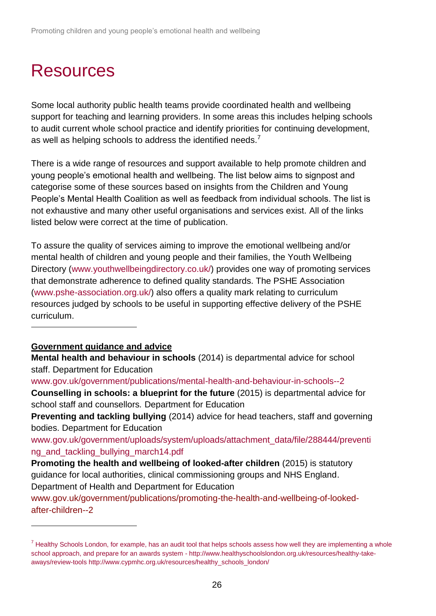# Resources

Some local authority public health teams provide coordinated health and wellbeing support for teaching and learning providers. In some areas this includes helping schools to audit current whole school practice and identify priorities for continuing development, as well as helping schools to address the identified needs.<sup>7</sup>

There is a wide range of resources and support available to help promote children and young people's emotional health and wellbeing. The list below aims to signpost and categorise some of these sources based on insights from the Children and Young People's Mental Health Coalition as well as feedback from individual schools. The list is not exhaustive and many other useful organisations and services exist. All of the links listed below were correct at the time of publication.

To assure the quality of services aiming to improve the emotional wellbeing and/or mental health of children and young people and their families, the Youth Wellbeing Directory [\(www.youthwellbeingdirectory.co.uk/\)](http://www.youthwellbeingdirectory.co.uk/) provides one way of promoting services that demonstrate adherence to defined quality standards. The PSHE Association [\(www.pshe-association.org.uk/\)](https://www.pshe-association.org.uk/) also offers a quality mark relating to curriculum resources judged by schools to be useful in supporting effective delivery of the PSHE curriculum.

### **Government guidance and advice**

l

l

**Mental health and behaviour in schools** (2014) is departmental advice for school staff. Department for Education

[www.gov.uk/government/publications/mental-health-and-behaviour-in-schools--2](https://www.gov.uk/government/publications/mental-health-and-behaviour-in-schools--2) **Counselling in schools: a blueprint for the future** (2015) is departmental advice for school staff and counsellors*.* Department for Education

**Preventing and tackling bullying** (2014) advice for head teachers, staff and governing bodies. Department for Education

[www.gov.uk/government/uploads/system/uploads/attachment\\_data/file/288444/preventi](https://www.gov.uk/government/uploads/system/uploads/attachment_data/file/288444/preventing_and_tackling_bullying_march14.pdf) [ng\\_and\\_tackling\\_bullying\\_march14.pdf](https://www.gov.uk/government/uploads/system/uploads/attachment_data/file/288444/preventing_and_tackling_bullying_march14.pdf)

**Promoting the health and wellbeing of looked-after children** (2015) is statutory guidance for local authorities, clinical commissioning groups and NHS England. Department of Health and Department for Education

www.gov.uk/government/publications/promoting-the-health-and-wellbeing-of-lookedafter-children--2

 $<sup>7</sup>$  Healthy Schools London, for example, has an audit tool that helps schools assess how well they are implementing a whole</sup> school approach, and prepare for an awards system - http://www.healthyschoolslondon.org.uk/resources/healthy-takeaways/review-tools [http://www.cypmhc.org.uk/resources/healthy\\_schools\\_london/](http://www.cypmhc.org.uk/resources/healthy_schools_london/)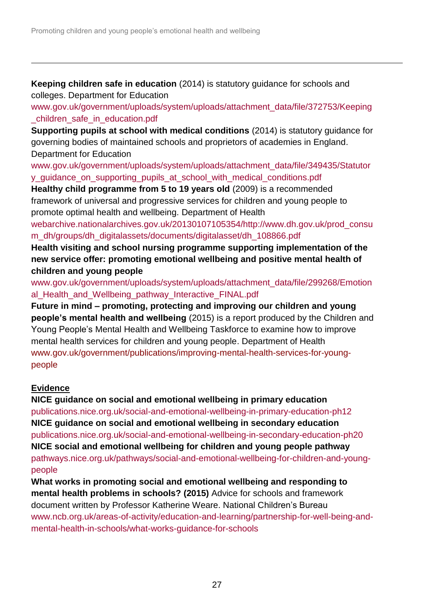**Keeping children safe in education** (2014) is statutory guidance for schools and colleges. Department for Education

[www.gov.uk/government/uploads/system/uploads/attachment\\_data/file/372753/Keeping](https://www.gov.uk/government/uploads/system/uploads/attachment_data/file/372753/Keeping_children_safe_in_education.pdf) [\\_children\\_safe\\_in\\_education.pdf](https://www.gov.uk/government/uploads/system/uploads/attachment_data/file/372753/Keeping_children_safe_in_education.pdf)

**Supporting pupils at school with medical conditions** (2014) is statutory guidance for governing bodies of maintained schools and proprietors of academies in England. Department for Education

[www.gov.uk/government/uploads/system/uploads/attachment\\_data/file/349435/Statutor](https://www.gov.uk/government/uploads/system/uploads/attachment_data/file/349435/Statutory_guidance_on_supporting_pupils_at_school_with_medical_conditions.pdf) [y\\_guidance\\_on\\_supporting\\_pupils\\_at\\_school\\_with\\_medical\\_conditions.pdf](https://www.gov.uk/government/uploads/system/uploads/attachment_data/file/349435/Statutory_guidance_on_supporting_pupils_at_school_with_medical_conditions.pdf)

**Healthy child programme from 5 to 19 years old** (2009) is a recommended framework of universal and progressive services for children and young people to promote optimal health and wellbeing. Department of Health

[webarchive.nationalarchives.gov.uk/20130107105354/http://www.dh.gov.uk/prod\\_consu](http://webarchive.nationalarchives.gov.uk/20130107105354/http:/www.dh.gov.uk/prod_consum_dh/groups/dh_digitalassets/documents/digitalasset/dh_108866.pdf) [m\\_dh/groups/dh\\_digitalassets/documents/digitalasset/dh\\_108866.pdf](http://webarchive.nationalarchives.gov.uk/20130107105354/http:/www.dh.gov.uk/prod_consum_dh/groups/dh_digitalassets/documents/digitalasset/dh_108866.pdf)

**Health visiting and school nursing programme supporting implementation of the new service offer: promoting emotional wellbeing and positive mental health of children and young people**

[www.gov.uk/government/uploads/system/uploads/attachment\\_data/file/299268/Emotion](https://www.gov.uk/government/uploads/system/uploads/attachment_data/file/299268/Emotional_Health_and_Wellbeing_pathway_Interactive_FINAL.pdf) [al\\_Health\\_and\\_Wellbeing\\_pathway\\_Interactive\\_FINAL.pdf](https://www.gov.uk/government/uploads/system/uploads/attachment_data/file/299268/Emotional_Health_and_Wellbeing_pathway_Interactive_FINAL.pdf)

**Future in mind – promoting, protecting and improving our children and young people's mental health and wellbeing** (2015) is a report produced by the Children and Young People's Mental Health and Wellbeing Taskforce to examine how to improve mental health services for children and young people. Department of Health www.gov.uk/government/publications/improving-mental-health-services-for-youngpeople

## **Evidence**

l

**NICE guidance on social and emotional wellbeing in primary education** [publications.nice.org.uk/social-and-emotional-wellbeing-in-primary-education-ph12](http://publications.nice.org.uk/social-and-emotional-wellbeing-in-primary-education-ph12) **NICE guidance on social and emotional wellbeing in secondary education**  [publications.nice.org.uk/social-and-emotional-wellbeing-in-secondary-education-ph20](http://publications.nice.org.uk/social-and-emotional-wellbeing-in-secondary-education-ph20) **NICE social and emotional wellbeing for children and young people pathway**  [pathways.nice.org.uk/pathways/social-and-emotional-wellbeing-for-children-and-young](http://pathways.nice.org.uk/pathways/social-and-emotional-wellbeing-for-children-and-young-people)[people](http://pathways.nice.org.uk/pathways/social-and-emotional-wellbeing-for-children-and-young-people)

**What works in promoting social and emotional wellbeing and responding to mental health problems in schools? (2015)** Advice for schools and framework document written by Professor Katherine Weare. National Children's Bureau [www.ncb.org.uk/areas-of-activity/education-and-learning/partnership-for-well-being-and](http://www.ncb.org.uk/areas-of-activity/education-and-learning/partnership-for-well-being-and-mental-health-in-schools/what-works-guidance-for-schools)[mental-health-in-schools/what-works-guidance-for-schools](http://www.ncb.org.uk/areas-of-activity/education-and-learning/partnership-for-well-being-and-mental-health-in-schools/what-works-guidance-for-schools)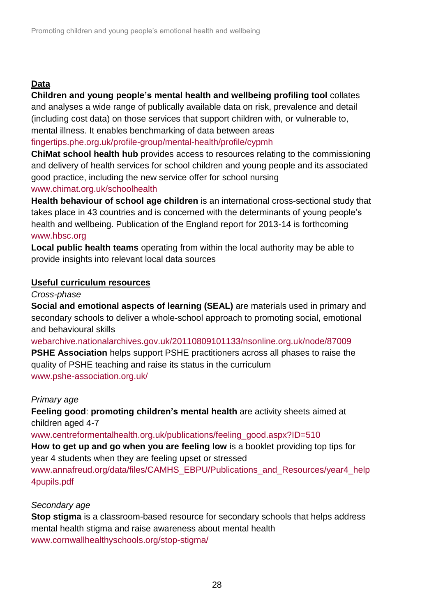## **Data**

l

**Children and young people's mental health and wellbeing profiling tool** collates and analyses a wide range of publically available data on risk, prevalence and detail (including cost data) on those services that support children with, or vulnerable to, mental illness. It enables benchmarking of data between areas [fingertips.phe.org.uk/profile-group/mental-health/profile/cypmh](http://fingertips.phe.org.uk/profile-group/mental-health/profile/cypmh)

**ChiMat school health hub** provides access to resources relating to the commissioning and delivery of health services for school children and young people and its associated good practice, including the new service offer for school nursing [www.chimat.org.uk/schoolhealth](http://www.chimat.org.uk/schoolhealth)

**Health behaviour of school age children** is an international cross-sectional study that takes place in 43 countries and is concerned with the determinants of young people's health and wellbeing. Publication of the England report for 2013-14 is forthcoming [www.hbsc.org](http://www.hbsc.org/)

**Local public health teams** operating from within the local authority may be able to provide insights into relevant local data sources

### **Useful curriculum resources**

*Cross-phase*

**Social and emotional aspects of learning (SEAL)** are materials used in primary and secondary schools to deliver a whole-school approach to promoting social, emotional and behavioural skills

[webarchive.nationalarchives.gov.uk/20110809101133/nsonline.org.uk/node/87009](http://webarchive.nationalarchives.gov.uk/20110809101133/nsonline.org.uk/node/87009) **PSHE Association** helps support PSHE practitioners across all phases to raise the quality of PSHE teaching and raise its status in the curriculum [www.pshe-association.org.uk/](http://www.pshe-association.org.uk/)

### *Primary age*

**Feeling good**: **promoting children's mental health** are activity sheets aimed at children aged 4-7

[www.centreformentalhealth.org.uk/publications/feeling\\_good.aspx?ID=510](http://www.centreformentalhealth.org.uk/publications/feeling_good.aspx?ID=510) **How to get up and go when you are feeling low** is a booklet providing top tips for year 4 students when they are feeling upset or stressed

[www.annafreud.org/data/files/CAMHS\\_EBPU/Publications\\_and\\_Resources/year4\\_help](http://www.annafreud.org/data/files/CAMHS_EBPU/Publications_and_Resources/year4_help4pupils.pdf) [4pupils.pdf](http://www.annafreud.org/data/files/CAMHS_EBPU/Publications_and_Resources/year4_help4pupils.pdf)

### *Secondary age*

**Stop stigma** is a classroom-based resource for secondary schools that helps address mental health stigma and raise awareness about mental health [www.cornwallhealthyschools.org/stop-stigma/](http://www.cornwallhealthyschools.org/stop-stigma/)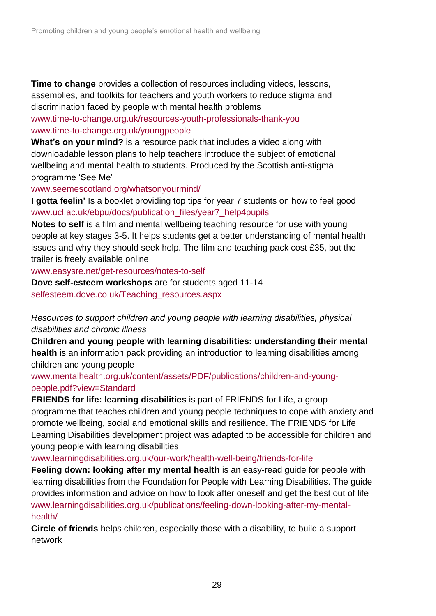**Time to change** provides a collection of resources including videos, lessons, assemblies, and toolkits for teachers and youth workers to reduce stigma and discrimination faced by people with mental health problems

[www.time-to-change.org.uk/resources-youth-professionals-thank-you](https://www.time-to-change.org.uk/resources-youth-professionals-thank-you) [www.time-to-change.org.uk/youngpeople](http://www.time-to-change.org.uk/youngpeople)

**What's on your mind?** is a resource pack that includes a video along with downloadable lesson plans to help teachers introduce the subject of emotional wellbeing and mental health to students. Produced by the Scottish anti-stigma programme 'See Me'

[www.seemescotland.org/whatsonyourmind/](https://www.seemescotland.org/whatsonyourmind/)

l

**I gotta feelin'** Is a booklet providing top tips for year 7 students on how to feel good [www.ucl.ac.uk/ebpu/docs/publication\\_files/year7\\_help4pupils](http://www.ucl.ac.uk/ebpu/docs/publication_files/year7_help4pupils)

**Notes to self** is a film and mental wellbeing teaching resource for use with young people at key stages 3-5. It helps students get a better understanding of mental health issues and why they should seek help. The film and teaching pack cost £35, but the trailer is freely available online

[www.easysre.net/get-resources/notes-to-self](http://www.easysre.net/get-resources/notes-to-self)

**Dove self-esteem workshops** are for students aged 11-14 [selfesteem.dove.co.uk/Teaching\\_resources.aspx](http://selfesteem.dove.co.uk/Teaching_resources.aspx)

*Resources to support children and young people with learning disabilities, physical disabilities and chronic illness*

**Children and young people with learning disabilities: understanding their mental health** is an information pack providing an introduction to learning disabilities among children and young people

[www.mentalhealth.org.uk/content/assets/PDF/publications/children-and-young](http://www.mentalhealth.org.uk/content/assets/PDF/publications/children-and-young-people.pdf?view=Standard)[people.pdf?view=Standard](http://www.mentalhealth.org.uk/content/assets/PDF/publications/children-and-young-people.pdf?view=Standard)

**FRIENDS for life: learning disabilities** is part of FRIENDS for Life, a group programme that teaches children and young people techniques to cope with anxiety and promote wellbeing, social and emotional skills and resilience. The FRIENDS for Life Learning Disabilities development project was adapted to be accessible for children and young people with learning disabilities

[www.learningdisabilities.org.uk/our-work/health-well-being/friends-for-life](http://www.learningdisabilities.org.uk/our-work/health-well-being/friends-for-life)

**Feeling down: looking after my mental health** is an easy-read guide for people with learning disabilities from the Foundation for People with Learning Disabilities. The guide provides information and advice on how to look after oneself and get the best out of life [www.learningdisabilities.org.uk/publications/feeling-down-looking-after-my-mental](http://www.learningdisabilities.org.uk/publications/feeling-down-looking-after-my-mental-health/)[health/](http://www.learningdisabilities.org.uk/publications/feeling-down-looking-after-my-mental-health/)

**Circle of friends** helps children, especially those with a disability, to build a support network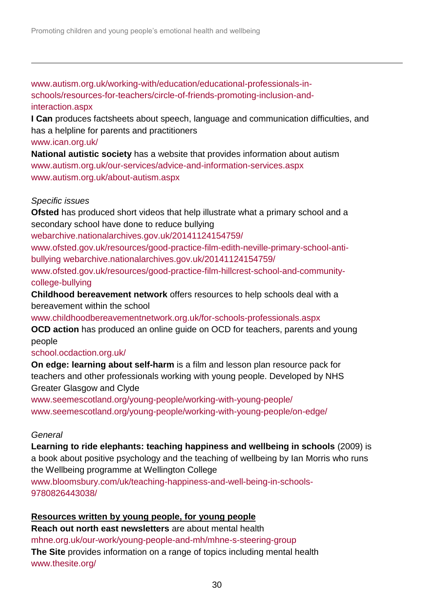[www.autism.org.uk/working-with/education/educational-professionals-in](http://www.autism.org.uk/working-with/education/educational-professionals-in-schools/resources-for-teachers/circle-of-friends-promoting-inclusion-and-interaction.aspx)[schools/resources-for-teachers/circle-of-friends-promoting-inclusion-and](http://www.autism.org.uk/working-with/education/educational-professionals-in-schools/resources-for-teachers/circle-of-friends-promoting-inclusion-and-interaction.aspx)[interaction.aspx](http://www.autism.org.uk/working-with/education/educational-professionals-in-schools/resources-for-teachers/circle-of-friends-promoting-inclusion-and-interaction.aspx)

**I Can** produces factsheets about speech, language and communication difficulties, and has a helpline for parents and practitioners

### [www.ican.org.uk/](http://www.ican.org.uk/)

l

**National autistic society** has a website that provides information about autism [www.autism.org.uk/our-services/advice-and-information-services.aspx](http://www.autism.org.uk/our-services/advice-and-information-services.aspx) [www.autism.org.uk/about-autism.aspx](http://www.autism.org.uk/about-autism.aspx)

### *Specific issues*

**Ofsted** has produced short videos that help illustrate what a primary school and a secondary school have done to reduce bullying

[webarchive.nationalarchives.gov.uk/20141124154759/](http://webarchive.nationalarchives.gov.uk/20141124154759/http:/www.ofsted.gov.uk/resources/good-practice-film-edith-neville-primary-school-anti-bullying)

[www.ofsted.gov.uk/resources/good-practice-film-edith-neville-primary-school-anti](http://webarchive.nationalarchives.gov.uk/20141124154759/http:/www.ofsted.gov.uk/resources/good-practice-film-edith-neville-primary-school-anti-bullying)[bullying](http://webarchive.nationalarchives.gov.uk/20141124154759/http:/www.ofsted.gov.uk/resources/good-practice-film-edith-neville-primary-school-anti-bullying) [webarchive.nationalarchives.gov.uk/20141124154759/](http://webarchive.nationalarchives.gov.uk/20141124154759/http:/www.ofsted.gov.uk/resources/good-practice-film-hillcrest-school-and-community-college-bullying)

[www.ofsted.gov.uk/resources/good-practice-film-hillcrest-school-and-community](http://webarchive.nationalarchives.gov.uk/20141124154759/http:/www.ofsted.gov.uk/resources/good-practice-film-hillcrest-school-and-community-college-bullying)[college-bullying](http://webarchive.nationalarchives.gov.uk/20141124154759/http:/www.ofsted.gov.uk/resources/good-practice-film-hillcrest-school-and-community-college-bullying)

**Childhood bereavement network** offers resources to help schools deal with a bereavement within the school

[www.childhoodbereavementnetwork.org.uk/for-schools-professionals.aspx](http://www.childhoodbereavementnetwork.org.uk/for-schools-professionals.aspx)

**OCD action** has produced an online quide on OCD for teachers, parents and young people

### [school.ocdaction.org.uk/](http://school.ocdaction.org.uk/)

**On edge: learning about self-harm** is a film and lesson plan resource pack for teachers and other professionals working with young people. Developed by NHS Greater Glasgow and Clyde

[www.seemescotland.org/young-people/working-with-young-people/](https://www.seemescotland.org/young-people/working-with-young-people/) www.seemescotland.org/young-people/working-with-young-people/on-edge/

### *General*

**Learning to ride elephants: teaching happiness and wellbeing in schools** (2009) is a book about positive psychology and the teaching of wellbeing by Ian Morris who runs the Wellbeing programme at Wellington College

[www.bloomsbury.com/uk/teaching-happiness-and-well-being-in-schools-](http://www.bloomsbury.com/uk/teaching-happiness-and-well-being-in-schools-9780826443038/)[9780826443038/](http://www.bloomsbury.com/uk/teaching-happiness-and-well-being-in-schools-9780826443038/)

### **Resources written by young people, for young people**

**Reach out north east newsletters** are about mental health [mhne.org.uk/our-work/young-people-and-mh/mhne-s-steering-group](http://mhne.org.uk/our-work/young-people-and-mh/mhne-s-steering-group) **The Site** provides information on a range of topics including mental health [www.thesite.org/](http://www.thesite.org/)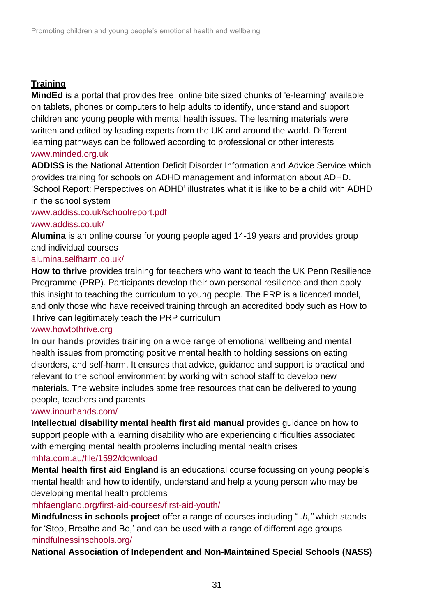## **Training**

l

**MindEd** is a portal that provides free, online bite sized chunks of 'e-learning' available on tablets, phones or computers to help adults to identify, understand and support children and young people with mental health issues. The learning materials were written and edited by leading experts from the UK and around the world. Different learning pathways can be followed according to professional or other interests [www.minded.org.uk](https://www.minded.org.uk/)

**ADDISS** is the National Attention Deficit Disorder Information and Advice Service which provides training for schools on ADHD management and information about ADHD. 'School Report: Perspectives on ADHD' illustrates what it is like to be a child with ADHD in the school system

### [www.addiss.co.uk/schoolreport.pdf](http://www.addiss.co.uk/schoolreport.pdf) [www.addiss.co.uk/](http://www.addiss.co.uk/)

**Alumina** is an online course for young people aged 14-19 years and provides group and individual courses

## [alumina.selfharm.co.uk/](http://alumina.selfharm.co.uk/)

**How to thrive** provides training for teachers who want to teach the UK Penn Resilience Programme (PRP). Participants develop their own personal resilience and then apply this insight to teaching the curriculum to young people. The PRP is a licenced model, and only those who have received training through an accredited body such as How to Thrive can legitimately teach the PRP curriculum

### www.howtothrive.org

**In our hands** provides training on a wide range of emotional wellbeing and mental health issues from promoting positive mental health to holding sessions on eating disorders, and self-harm. It ensures that advice, guidance and support is practical and relevant to the school environment by working with school staff to develop new materials. The website includes some free resources that can be delivered to young people, teachers and parents

### [www.inourhands.com/](http://www.inourhands.com/)

**Intellectual disability mental health first aid manual** provides guidance on how to support people with a learning disability who are experiencing difficulties associated with emerging mental health problems including mental health crises [mhfa.com.au/file/1592/download](https://mhfa.com.au/file/1592/download)

**Mental health first aid England** is an educational course focussing on young people's mental health and how to identify, understand and help a young person who may be developing mental health problems

[mhfaengland.org/first-aid-courses/first-aid-youth/](http://mhfaengland.org/first-aid-courses/first-aid-youth/)

**Mindfulness in schools project** offer a range of courses including " *.b,"* which stands for 'Stop, Breathe and Be,' and can be used with a range of different age groups [mindfulnessinschools.org/](http://mindfulnessinschools.org/)

**National Association of Independent and Non-Maintained Special Schools (NASS)**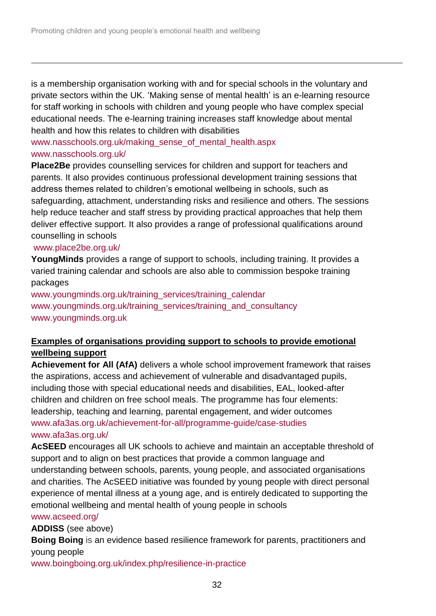is a membership organisation working with and for special schools in the voluntary and private sectors within the UK. 'Making sense of mental health' is an e-learning resource for staff working in schools with children and young people who have complex special educational needs. The e-learning training increases staff knowledge about mental health and how this relates to children with disabilities

### [www.nasschools.org.uk/making\\_sense\\_of\\_mental\\_health.aspx](http://www.nasschools.org.uk/making_sense_of_mental_health.aspx) [www.nasschools.org.uk/](../AppData/Local/Microsoft/Windows/Temporary%20Internet%20Files/Content.Outlook/AppData/Local/Library/Containers/com.apple.mail/Data/Library/Mail%20Downloads/AppData/Local/Microsoft/Windows/Temporary%20Internet%20Files/Content.Outlook/2ET6OYWA/www.nasschools.org.uk)

**Place2Be** provides counselling services for children and support for teachers and parents. It also provides continuous professional development training sessions that address themes related to children's emotional wellbeing in schools, such as safeguarding, attachment, understanding risks and resilience and others. The sessions help reduce teacher and staff stress by providing practical approaches that help them deliver effective support. It also provides a range of professional qualifications around counselling in schools

### [www.place2be.org.uk/](http://www.place2be.org.uk/)

l

**YoungMinds** provides a range of support to schools, including training. It provides a varied training calendar and schools are also able to commission bespoke training packages

[www.youngminds.org.uk/training\\_services/training\\_calendar](http://www.youngminds.org.uk/training_services/training_calendar) [www.youngminds.org.uk/training\\_services/training\\_and\\_consultancy](http://www.youngminds.org.uk/training_services/training_and_consultancy) [www.youngminds.org.uk](http://www.youngminds.org.uk/)

## **Examples of organisations providing support to schools to provide emotional wellbeing support**

**Achievement for All (AfA)** delivers a whole school improvement framework that raises the aspirations, access and achievement of vulnerable and disadvantaged pupils, including those with special educational needs and disabilities, EAL, looked-after children and children on free school meals. The programme has four elements: leadership, teaching and learning, parental engagement, and wider outcomes [www.afa3as.org.uk/achievement-for-all/programme-guide/case-studies](http://www.afa3as.org.uk/achievement-for-all/programme-guide/case-studies) [www.afa3as.org.uk/](http://www.afa3as.org.uk/)

**AcSEED** encourages all UK schools to achieve and maintain an acceptable threshold of support and to align on best practices that provide a common language and understanding between schools, parents, young people, and associated organisations and charities. The AcSEED initiative was founded by young people with direct personal experience of mental illness at a young age, and is entirely dedicated to supporting the emotional wellbeing and mental health of young people in schools

### [www.acseed.org/](http://www.acseed.org/)

**ADDISS** (see above)

**Boing Boing** is an evidence based resilience framework for parents, practitioners and young people

[www.boingboing.org.uk/index.php/resilience-in-practice](http://www.boingboing.org.uk/index.php/resilience-in-practice)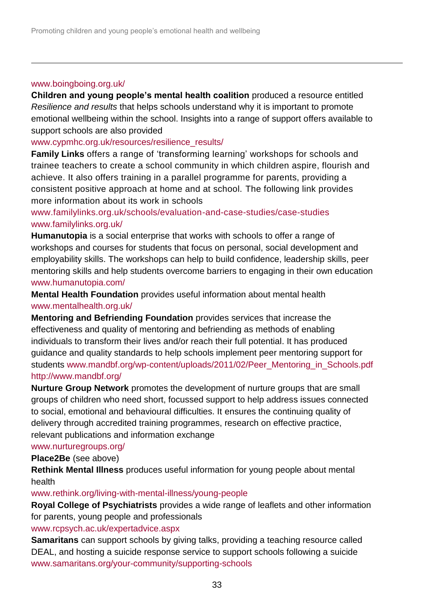#### [www.boingboing.org.uk/](http://www.boingboing.org.uk/)

l

**Children and young people's mental health coalition** produced a resource entitled *Resilience and results* that helps schools understand why it is important to promote emotional wellbeing within the school. Insights into a range of support offers available to support schools are also provided

[www.cypmhc.org.uk/resources/resilience\\_results/](http://www.cypmhc.org.uk/resources/resilience_results/)

**Family Links** offers a range of 'transforming learning' workshops for schools and trainee teachers to create a school community in which children aspire, flourish and achieve. It also offers training in a parallel programme for parents, providing a consistent positive approach at home and at school. The following link provides more information about its work in schools

[www.familylinks.org.uk/schools/evaluation-and-case-studies/case-studies](https://www.familylinks.org.uk/schools/evaluation-and-case-studies/case-studies) [www.familylinks.org.uk/](https://www.familylinks.org.uk/)

**Humanutopia** is a social enterprise that works with schools to offer a range of workshops and courses for students that focus on personal, social development and employability skills. The workshops can help to build confidence, leadership skills, peer mentoring skills and help students overcome barriers to engaging in their own education [www.humanutopia.com/](http://www.humanutopia.com/)

**Mental Health Foundation** provides useful information about mental health [www.mentalhealth.org.uk/](http://www.mentalhealth.org.uk/)

**Mentoring and Befriending Foundation** provides services that increase the effectiveness and quality of mentoring and befriending as methods of enabling individuals to transform their lives and/or reach their full potential. It has produced guidance and quality standards to help schools implement peer mentoring support for students [www.mandbf.org/wp-content/uploads/2011/02/Peer\\_Mentoring\\_in\\_Schools.pdf](http://www.mandbf.org/wp-content/uploads/2011/02/Peer_Mentoring_in_Schools.pdf) <http://www.mandbf.org/>

**Nurture Group Network** promotes the development of nurture groups that are small groups of children who need short, focussed support to help address issues connected to social, emotional and behavioural difficulties. It ensures the continuing quality of delivery through accredited training programmes, research on effective practice, relevant publications and information exchange

### [www.nurturegroups.org/](http://www.nurturegroups.org/)

### **Place2Be** (see above)

**Rethink Mental Illness** produces useful information for young people about mental health

[www.rethink.org/living-with-mental-illness/young-people](http://www.rethink.org/living-with-mental-illness/young-people)

**Royal College of Psychiatrists** provides a wide range of leaflets and other information for parents, young people and professionals

[www.rcpsych.ac.uk/expertadvice.aspx](http://www.rcpsych.ac.uk/expertadvice.aspx)

**Samaritans** can support schools by giving talks, providing a teaching resource called DEAL, and hosting a suicide response service to support schools following a suicide [www.samaritans.org/your-community/supporting-schools](http://www.samaritans.org/your-community/supporting-schools)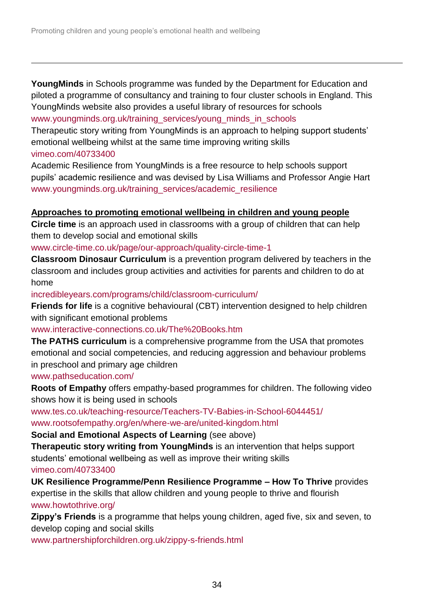**YoungMinds** in Schools programme was funded by the Department for Education and piloted a programme of consultancy and training to four cluster schools in England. This YoungMinds website also provides a useful library of resources for schools [www.youngminds.org.uk/training\\_services/young\\_minds\\_in\\_schools](http://www.youngminds.org.uk/training_services/young_minds_in_schools)

Therapeutic story writing from YoungMinds is an approach to helping support students' emotional wellbeing whilst at the same time improving writing skills [vimeo.com/40733400](http://vimeo.com/40733400) 

Academic Resilience from YoungMinds is a free resource to help schools support pupils' academic resilience and was devised by Lisa Williams and Professor Angie Hart www.youngminds.org.uk/training\_services/academic\_resilience

### **Approaches to promoting emotional wellbeing in children and young people**

**Circle time** is an approach used in classrooms with a group of children that can help them to develop social and emotional skills

[www.circle-time.co.uk/page/our-approach/quality-circle-time-1](http://www.circle-time.co.uk/page/our-approach/quality-circle-time-1)

**Classroom Dinosaur Curriculum** is a prevention program delivered by teachers in the classroom and includes group activities and activities for parents and children to do at home

[incredibleyears.com/programs/child/classroom-curriculum/](http://incredibleyears.com/programs/child/classroom-curriculum/)

**Friends for life** is a cognitive behavioural (CBT) intervention designed to help children with significant emotional problems

[www.interactive-connections.co.uk/The%20Books.htm](http://www.interactive-connections.co.uk/The%20Books.htm)

**The PATHS curriculum** is a comprehensive programme from the USA that promotes emotional and social competencies, and reducing aggression and behaviour problems in preschool and primary age children

www.pathseducation.com/

l

**Roots of Empathy** offers empathy-based programmes for children. The following video shows how it is being used in schools

[www.tes.co.uk/teaching-resource/Teachers-TV-Babies-in-School-6044451/](http://www.tes.co.uk/teaching-resource/Teachers-TV-Babies-in-School-6044451/) [www.rootsofempathy.org/en/where-we-are/united-kingdom.html](http://www.rootsofempathy.org/en/where-we-are/united-kingdom.html)

**Social and Emotional Aspects of Learning** (see above)

**Therapeutic story writing from YoungMinds** is an intervention that helps support students' emotional wellbeing as well as improve their writing skills [vimeo.com/40733400](http://vimeo.com/40733400)

**UK Resilience Programme/Penn Resilience Programme – How To Thrive** provides expertise in the skills that allow children and young people to thrive and flourish [www.howtothrive.org/](http://www.howtothrive.org/) 

**Zippy's Friends** is a programme that helps young children, aged five, six and seven, to develop coping and social skills

[www.partnershipforchildren.org.uk/zippy-s-friends.html](http://www.partnershipforchildren.org.uk/zippy-s-friends.html)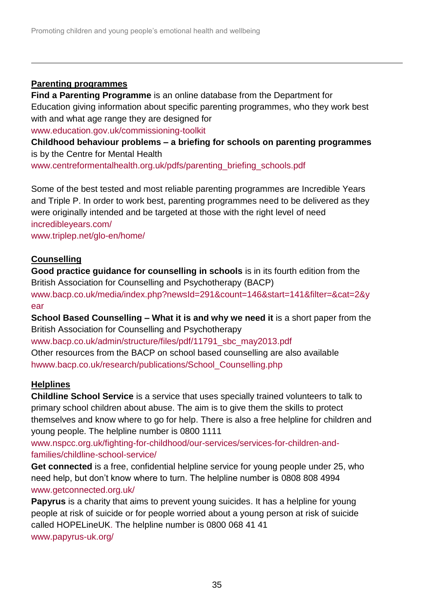## **Parenting programmes**

l

**Find a Parenting Programme** is an online database from the Department for Education giving information about specific parenting programmes, who they work best with and what age range they are designed for www.education.gov.uk/commissioning-toolkit

**Childhood behaviour problems – a briefing for schools on parenting programmes**  is by the Centre for Mental Health

[www.centreformentalhealth.org.uk/pdfs/parenting\\_briefing\\_schools.pdf](http://www.centreformentalhealth.org.uk/pdfs/parenting_briefing_schools.pdf)

Some of the best tested and most reliable parenting programmes are Incredible Years and Triple P. In order to work best, parenting programmes need to be delivered as they were originally intended and be targeted at those with the right level of need [incredibleyears.com/](http://incredibleyears.com/) [www.triplep.net/glo-en/home/](http://www.triplep.net/glo-en/home/)

## **Counselling**

**Good practice guidance for counselling in schools** is in its fourth edition from the British Association for Counselling and Psychotherapy (BACP) [www.bacp.co.uk/media/index.php?newsId=291&count=146&start=141&filter=&cat=2&y](http://www.bacp.co.uk/media/index.php?newsId=291&count=146&start=141&filter=&cat=2&year) [ear](http://www.bacp.co.uk/media/index.php?newsId=291&count=146&start=141&filter=&cat=2&year)

**School Based Counselling – What it is and why we need it** is a short paper from the British Association for Counselling and Psychotherapy

[www.bacp.co.uk/admin/structure/files/pdf/11791\\_sbc\\_may2013.pdf](http://www.bacp.co.uk/admin/structure/files/pdf/11791_sbc_may2013.pdf) Other resources from the BACP on school based counselling are also available [hwww.bacp.co.uk/research/publications/School\\_Counselling.php](http://www.bacp.co.uk/research/publications/School_Counselling.php)

## **Helplines**

**Childline School Service** is a service that uses specially trained volunteers to talk to primary school children about abuse. The aim is to give them the skills to protect themselves and know where to go for help. There is also a free helpline for children and young people. The helpline number is 0800 1111

[www.nspcc.org.uk/fighting-for-childhood/our-services/services-for-children-and](http://www.nspcc.org.uk/fighting-for-childhood/our-services/services-for-children-and-families/childline-school-service/)[families/childline-school-service/](http://www.nspcc.org.uk/fighting-for-childhood/our-services/services-for-children-and-families/childline-school-service/)

**Get connected** is a free, confidential helpline service for young people under 25, who need help, but don't know where to turn. The helpline number is 0808 808 4994 [www.getconnected.org.uk/](https://www.getconnected.org.uk/)

**Papyrus** is a charity that aims to prevent young suicides. It has a helpline for young people at risk of suicide or for people worried about a young person at risk of suicide called [HOPELineUK.](http://www.papyrus-uk.org/more/hopelineuk) The helpline number is 0800 068 41 41 [www.papyrus-uk.org/](http://www.papyrus-uk.org/)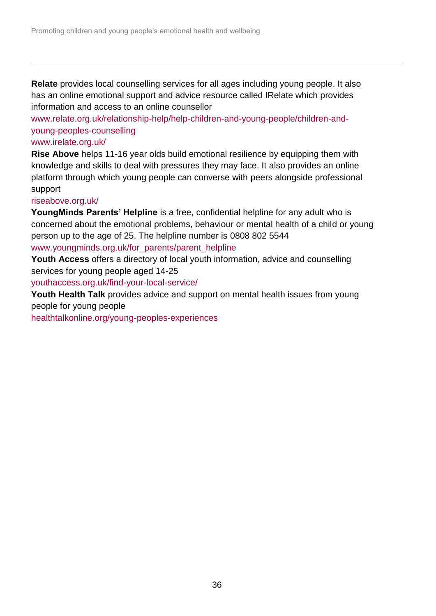**Relate** provides local counselling services for all ages including young people. It also has an online emotional support and advice resource called IRelate which provides information and access to an online counsellor

[www.relate.org.uk/relationship-help/help-children-and-young-people/children-and](http://www.relate.org.uk/relationship-help/help-children-and-young-people/children-and-young-peoples-counselling)[young-peoples-counselling](http://www.relate.org.uk/relationship-help/help-children-and-young-people/children-and-young-peoples-counselling)

### [www.irelate.org.uk/](http://www.irelate.org.uk/)

l

**Rise Above** helps 11-16 year olds build emotional resilience by equipping them with knowledge and skills to deal with pressures they may face. It also provides an online platform through which young people can converse with peers alongside professional support

### [riseabove.org.uk/](http://riseabove.org.uk/)

**YoungMinds Parents' Helpline** is a free, confidential helpline for any adult who is concerned about the emotional problems, behaviour or mental health of a child or young person up to the age of 25. The helpline number is 0808 802 5544

[www.youngminds.org.uk/for\\_parents/parent\\_helpline](http://www.youngminds.org.uk/for_parents/parent_helpline)

**Youth Access** offers a directory of local youth information, advice and counselling services for young people aged 14-25

[youthaccess.org.uk/find-your-local-service/](http://youthaccess.org.uk/find-your-local-service/)

**Youth Health Talk** provides advice and support on mental health issues from young people for young people

[healthtalkonline.org/young-peoples-experiences](http://healthtalkonline.org/young-peoples-experiences)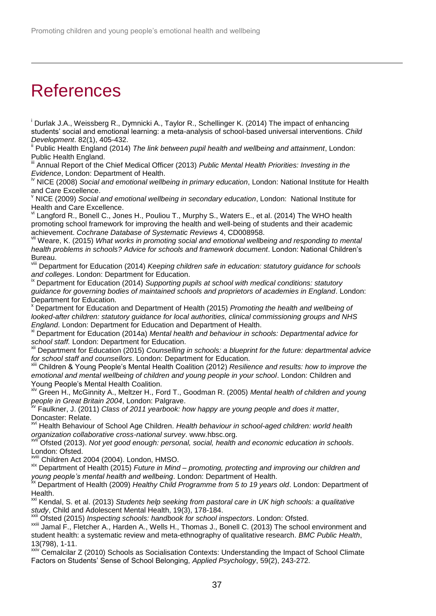# **References**

l

<sup>i</sup> Durlak J.A., Weissberg R., Dymnicki A., Taylor R., Schellinger K. (2014) The impact of enhancing students' social and emotional learning: a meta-analysis of school-based universal interventions. *Child Development*. 82(1), 405-432.

Public Health England (2014) *The link between pupil health and wellbeing and attainment*, London: Public Health England.

Annual Report of the Chief Medical Officer (2013) *Public Mental Health Priorities: Investing in the Evidence*, London: Department of Health.

NICE (2008) *Social and emotional wellbeing in primary education*, London: National Institute for Health and Care Excellence.

<sup>v</sup> NICE (2009) *Social and emotional wellbeing in secondary education*, London: National Institute for Health and Care Excellence.

Langford R., Bonell C., Jones H., Pouliou T., Murphy S., Waters E., et al. (2014) The WHO health promoting school framework for improving the health and well-being of students and their academic achievement. *Cochrane Database of Systematic Reviews* 4, CD008958.

Weare, K. (2015) *What works in promoting social and emotional wellbeing and responding to mental health problems in schools? Advice for schools and framework document*. London: National Children's Bureau.

Department for Education (2014) *Keeping children safe in education: statutory guidance for schools and colleges*. London: Department for Education.

ix Department for Education (2014) *Supporting pupils at school with medical conditions: statutory guidance for governing bodies of maintained schools and proprietors of academies in England*. London: Department for Education.

<sup>x</sup> Department for Education and Department of Health (2015) *Promoting the health and wellbeing of looked-after children: statutory guidance for local authorities, clinical commissioning groups and NHS England*. London: Department for Education and Department of Health.

xi Department for Education (2014a) *Mental health and behaviour in schools: Departmental advice for school staff.* London: Department for Education.

xii Department for Education (2015) *Counselling in schools: a blueprint for the future: departmental advice for school staff and counsellors*. London: Department for Education.

Children & Young People's Mental Health Coalition (2012) *Resilience and results: how to improve the emotional and mental wellbeing of children and young people in your school*. London: Children and Young People's Mental Health Coalition.

xiv Green H., McGinnity A., Meltzer H., Ford T., Goodman R. (2005) *Mental health of children and young people in Great Britain 2004*, London: Palgrave.

xv Faulkner, J. (2011) *Class of 2011 yearbook: how happy are young people and does it matter*, Doncaster: Relate.

xvi Health Behaviour of School Age Children. *Health behaviour in school-aged children: world health organization collaborative cross-national survey*. www.hbsc.org.

Ofsted (2013). *Not yet good enough: personal, social, health and economic education in schools.* London: Ofsted.

xviii Children Act 2004 (2004). London, HMSO.

xix Department of Health (2015) *Future in Mind – promoting, protecting and improving our children and young people's mental health and wellbeing*. London: Department of Health.

xx Department of Health (2009) *Healthy Child Programme from 5 to 19 years old*. London: Department of Health.

<sup>xxi</sup> Kendal, S. et al. (2013) *Students help seeking from pastoral care in UK high schools: a qualitative study*, Child and Adolescent Mental Health, 19(3), 178-184.

Ofsted (2015) *Inspecting schools: handbook for school inspectors*. London: Ofsted.

xxiii Jamal F., Fletcher A., Harden A., Wells H., Thomas J., Bonell C. (2013) The school environment and student health: a systematic review and meta-ethnography of qualitative research. *BMC Public Health*, 13(798), 1-11.

xxiv Cemalcilar Z (2010) Schools as Socialisation Contexts: Understanding the Impact of School Climate Factors on Students' Sense of School Belonging, *Applied Psychology*, 59(2), 243-272.